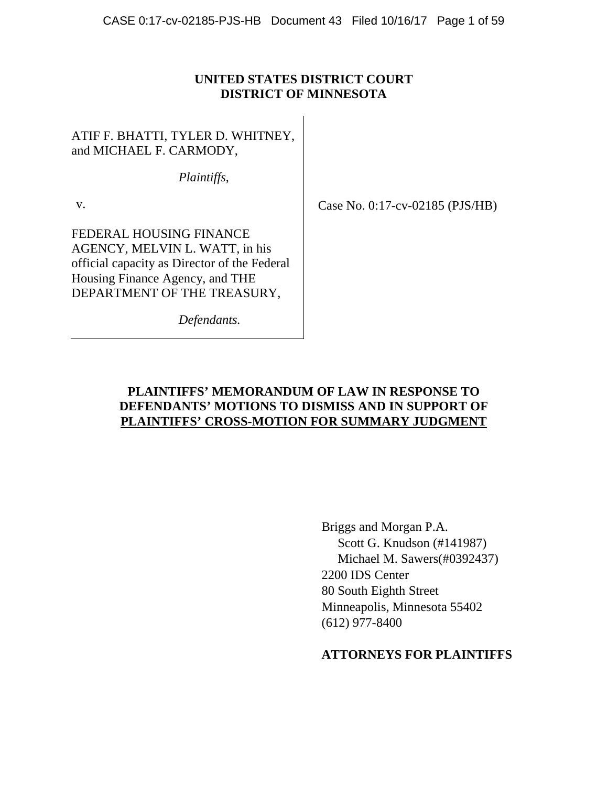### **UNITED STATES DISTRICT COURT DISTRICT OF MINNESOTA**

ATIF F. BHATTI, TYLER D. WHITNEY, and MICHAEL F. CARMODY,

*Plaintiffs*,

v.

FEDERAL HOUSING FINANCE AGENCY, MELVIN L. WATT, in his official capacity as Director of the Federal Housing Finance Agency, and THE DEPARTMENT OF THE TREASURY,

*Defendants.*

Case No. 0:17-cv-02185 (PJS/HB)

# **PLAINTIFFS' MEMORANDUM OF LAW IN RESPONSE TO DEFENDANTS' MOTIONS TO DISMISS AND IN SUPPORT OF PLAINTIFFS' CROSS-MOTION FOR SUMMARY JUDGMENT**

Briggs and Morgan P.A. Scott G. Knudson (#141987) Michael M. Sawers(#0392437) 2200 IDS Center 80 South Eighth Street Minneapolis, Minnesota 55402 (612) 977-8400

# **ATTORNEYS FOR PLAINTIFFS**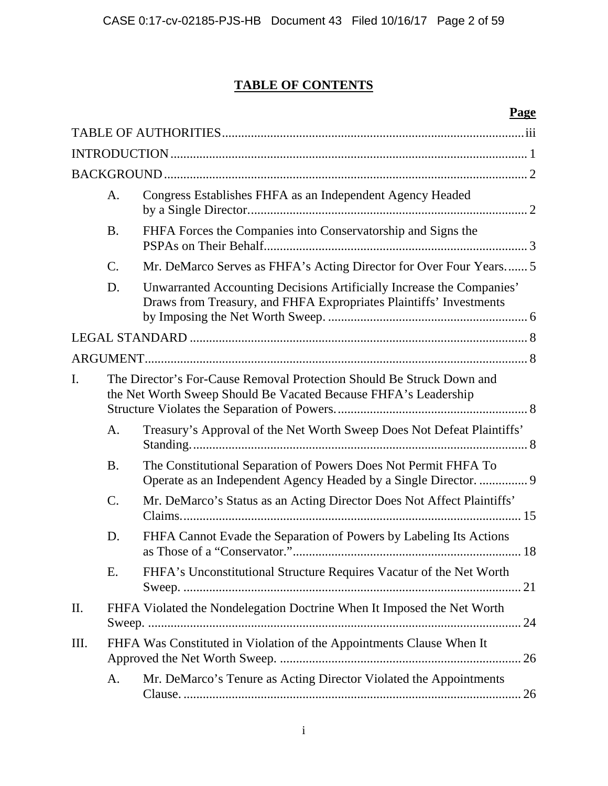# **TABLE OF CONTENTS**

# **Page**

|     | A.        | Congress Establishes FHFA as an Independent Agency Headed                                                                                   |  |
|-----|-----------|---------------------------------------------------------------------------------------------------------------------------------------------|--|
|     | <b>B.</b> | FHFA Forces the Companies into Conservatorship and Signs the                                                                                |  |
|     | C.        | Mr. DeMarco Serves as FHFA's Acting Director for Over Four Years 5                                                                          |  |
|     | D.        | Unwarranted Accounting Decisions Artificially Increase the Companies'<br>Draws from Treasury, and FHFA Expropriates Plaintiffs' Investments |  |
|     |           |                                                                                                                                             |  |
|     |           |                                                                                                                                             |  |
| I.  |           | The Director's For-Cause Removal Protection Should Be Struck Down and<br>the Net Worth Sweep Should Be Vacated Because FHFA's Leadership    |  |
|     | A.        | Treasury's Approval of the Net Worth Sweep Does Not Defeat Plaintiffs'                                                                      |  |
|     | <b>B.</b> | The Constitutional Separation of Powers Does Not Permit FHFA To<br>Operate as an Independent Agency Headed by a Single Director.  9         |  |
|     | C.        | Mr. DeMarco's Status as an Acting Director Does Not Affect Plaintiffs'                                                                      |  |
|     | D.        | FHFA Cannot Evade the Separation of Powers by Labeling Its Actions                                                                          |  |
|     | E.        | FHFA's Unconstitutional Structure Requires Vacatur of the Net Worth                                                                         |  |
| II. |           | FHFA Violated the Nondelegation Doctrine When It Imposed the Net Worth                                                                      |  |
| Ш.  |           | FHFA Was Constituted in Violation of the Appointments Clause When It                                                                        |  |
|     | A.        | Mr. DeMarco's Tenure as Acting Director Violated the Appointments                                                                           |  |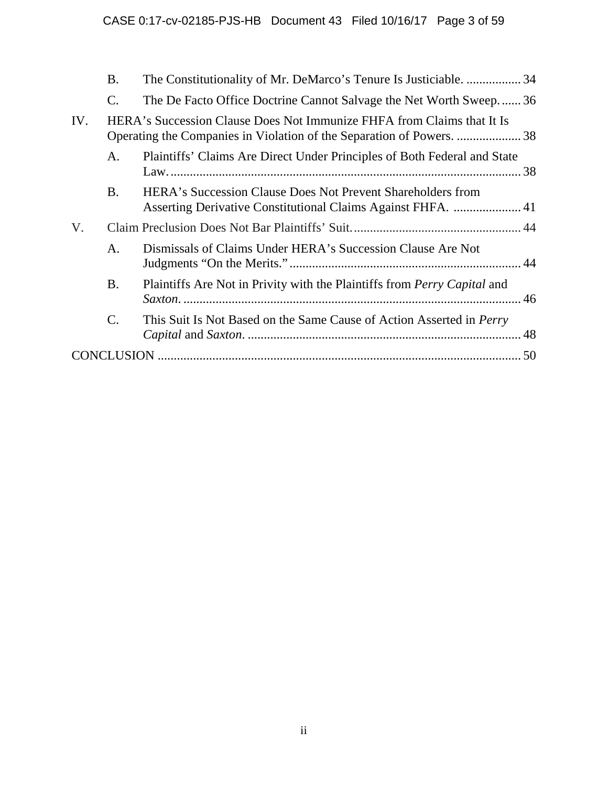|     | <b>B.</b>       | The Constitutionality of Mr. DeMarco's Tenure Is Justiciable.  34           |  |
|-----|-----------------|-----------------------------------------------------------------------------|--|
|     | $\mathcal{C}$ . | The De Facto Office Doctrine Cannot Salvage the Net Worth Sweep36           |  |
| IV. |                 | HERA's Succession Clause Does Not Immunize FHFA from Claims that It Is      |  |
|     | A.              | Plaintiffs' Claims Are Direct Under Principles of Both Federal and State    |  |
|     | <b>B.</b>       | HERA's Succession Clause Does Not Prevent Shareholders from                 |  |
| V.  |                 |                                                                             |  |
|     | A.              | Dismissals of Claims Under HERA's Succession Clause Are Not                 |  |
|     | <b>B.</b>       | Plaintiffs Are Not in Privity with the Plaintiffs from Perry Capital and    |  |
|     | $\mathcal{C}$ . | This Suit Is Not Based on the Same Cause of Action Asserted in <i>Perry</i> |  |
|     |                 |                                                                             |  |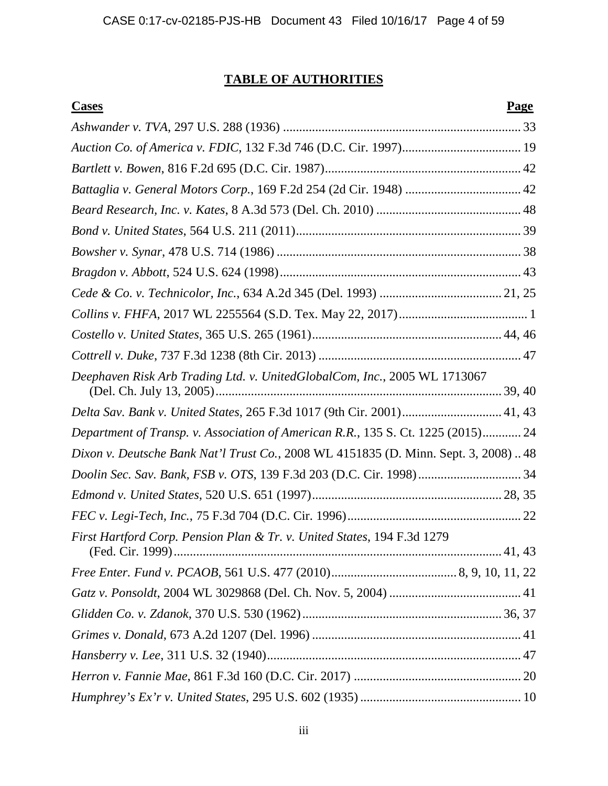# **TABLE OF AUTHORITIES**

| <b>Cases</b>                                                                       | <b>Page</b> |
|------------------------------------------------------------------------------------|-------------|
|                                                                                    |             |
|                                                                                    |             |
|                                                                                    |             |
|                                                                                    |             |
|                                                                                    |             |
|                                                                                    |             |
|                                                                                    |             |
|                                                                                    |             |
|                                                                                    |             |
|                                                                                    |             |
|                                                                                    |             |
|                                                                                    |             |
| Deephaven Risk Arb Trading Ltd. v. UnitedGlobalCom, Inc., 2005 WL 1713067          |             |
| Delta Sav. Bank v. United States, 265 F.3d 1017 (9th Cir. 2001) 41, 43             |             |
| Department of Transp. v. Association of American R.R., 135 S. Ct. 1225 (2015) 24   |             |
| Dixon v. Deutsche Bank Nat'l Trust Co., 2008 WL 4151835 (D. Minn. Sept. 3, 2008)48 |             |
|                                                                                    |             |
|                                                                                    |             |
|                                                                                    |             |
| First Hartford Corp. Pension Plan & Tr. v. United States, 194 F.3d 1279            |             |
|                                                                                    |             |
|                                                                                    |             |
|                                                                                    |             |
|                                                                                    |             |
|                                                                                    |             |
|                                                                                    |             |
|                                                                                    |             |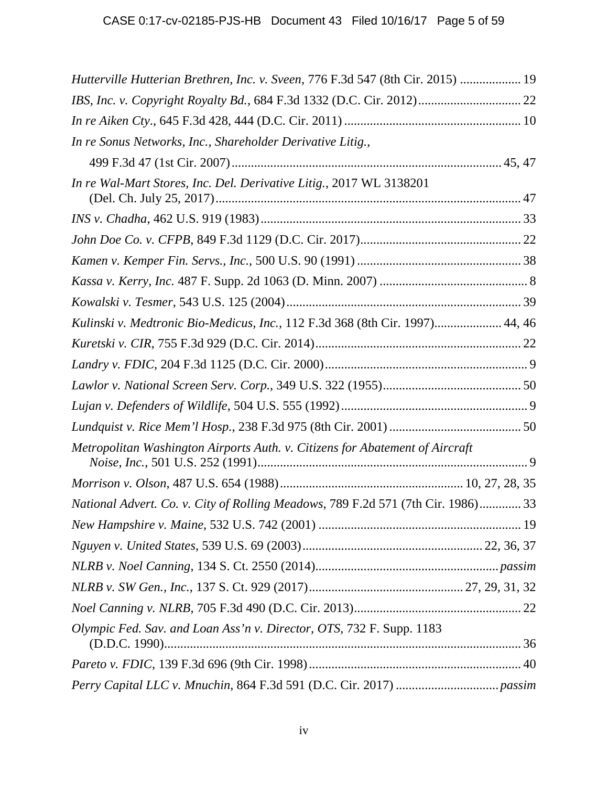| Hutterville Hutterian Brethren, Inc. v. Sveen, 776 F.3d 547 (8th Cir. 2015)  19  |
|----------------------------------------------------------------------------------|
|                                                                                  |
|                                                                                  |
| In re Sonus Networks, Inc., Shareholder Derivative Litig.,                       |
|                                                                                  |
| In re Wal-Mart Stores, Inc. Del. Derivative Litig., 2017 WL 3138201              |
|                                                                                  |
|                                                                                  |
|                                                                                  |
|                                                                                  |
|                                                                                  |
| Kulinski v. Medtronic Bio-Medicus, Inc., 112 F.3d 368 (8th Cir. 1997) 44, 46     |
|                                                                                  |
|                                                                                  |
|                                                                                  |
|                                                                                  |
|                                                                                  |
| Metropolitan Washington Airports Auth. v. Citizens for Abatement of Aircraft     |
|                                                                                  |
| National Advert. Co. v. City of Rolling Meadows, 789 F.2d 571 (7th Cir. 1986) 33 |
|                                                                                  |
|                                                                                  |
|                                                                                  |
|                                                                                  |
|                                                                                  |
| Olympic Fed. Sav. and Loan Ass'n v. Director, OTS, 732 F. Supp. 1183             |
|                                                                                  |
|                                                                                  |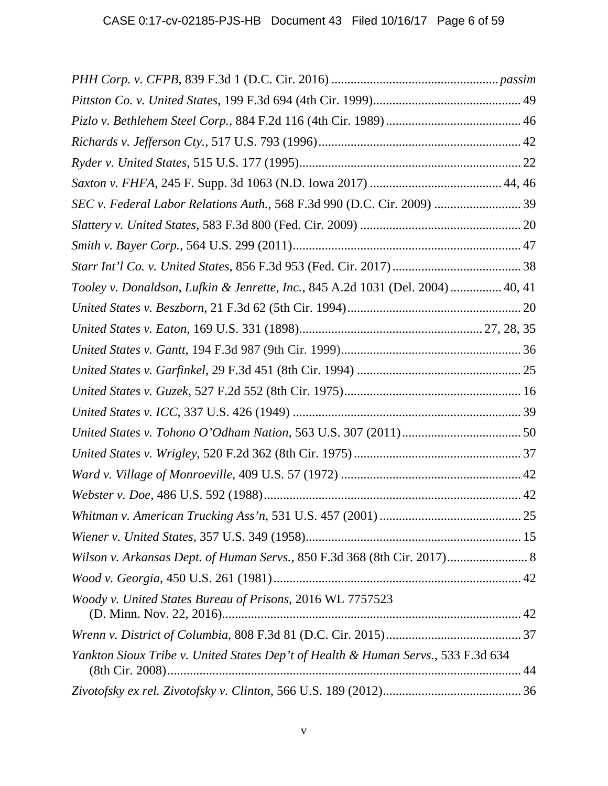| SEC v. Federal Labor Relations Auth., 568 F.3d 990 (D.C. Cir. 2009)  39           |  |
|-----------------------------------------------------------------------------------|--|
|                                                                                   |  |
|                                                                                   |  |
|                                                                                   |  |
| Tooley v. Donaldson, Lufkin & Jenrette, Inc., 845 A.2d 1031 (Del. 2004)  40, 41   |  |
|                                                                                   |  |
|                                                                                   |  |
|                                                                                   |  |
|                                                                                   |  |
|                                                                                   |  |
|                                                                                   |  |
|                                                                                   |  |
|                                                                                   |  |
|                                                                                   |  |
|                                                                                   |  |
|                                                                                   |  |
|                                                                                   |  |
| Wilson v. Arkansas Dept. of Human Servs., 850 F.3d 368 (8th Cir. 2017) 8          |  |
|                                                                                   |  |
| Woody v. United States Bureau of Prisons, 2016 WL 7757523                         |  |
|                                                                                   |  |
| Yankton Sioux Tribe v. United States Dep't of Health & Human Servs., 533 F.3d 634 |  |
|                                                                                   |  |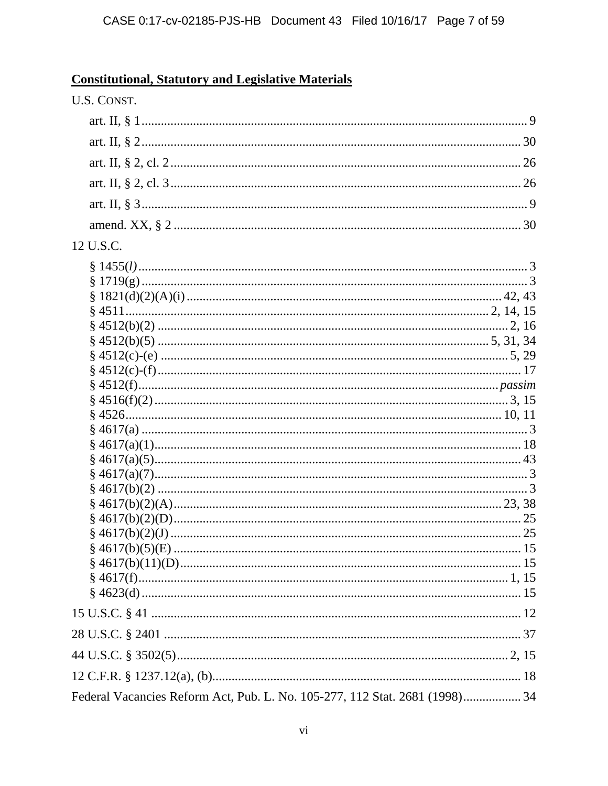# **Constitutional, Statutory and Legislative Materials**

| U.S. CONST.                                                                 |
|-----------------------------------------------------------------------------|
|                                                                             |
|                                                                             |
|                                                                             |
|                                                                             |
|                                                                             |
|                                                                             |
| 12 U.S.C.                                                                   |
|                                                                             |
|                                                                             |
|                                                                             |
|                                                                             |
|                                                                             |
| Federal Vacancies Reform Act, Pub. L. No. 105-277, 112 Stat. 2681 (1998) 34 |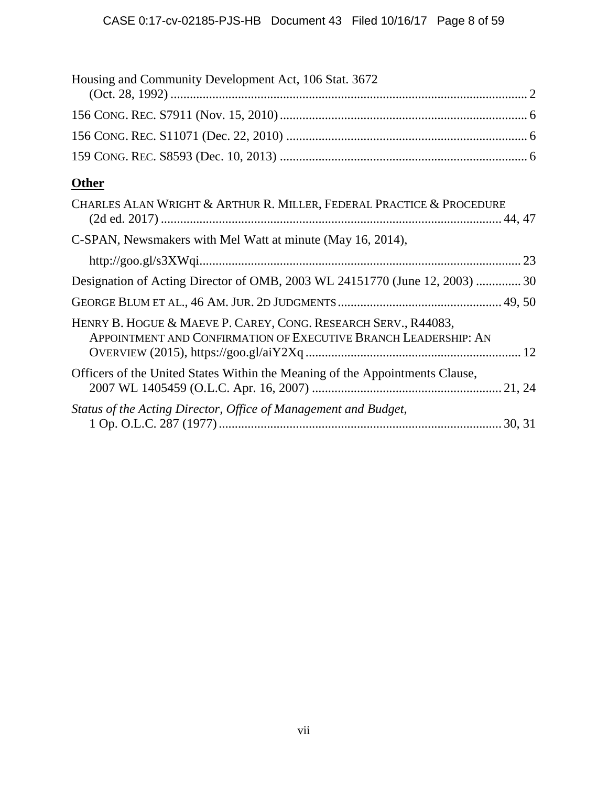| Housing and Community Development Act, 106 Stat. 3672                                                                             |
|-----------------------------------------------------------------------------------------------------------------------------------|
|                                                                                                                                   |
|                                                                                                                                   |
|                                                                                                                                   |
| <b>Other</b>                                                                                                                      |
| CHARLES ALAN WRIGHT & ARTHUR R. MILLER, FEDERAL PRACTICE & PROCEDURE                                                              |
| C-SPAN, Newsmakers with Mel Watt at minute (May 16, 2014),                                                                        |
|                                                                                                                                   |
| Designation of Acting Director of OMB, 2003 WL 24151770 (June 12, 2003)  30                                                       |
|                                                                                                                                   |
| HENRY B. HOGUE & MAEVE P. CAREY, CONG. RESEARCH SERV., R44083,<br>APPOINTMENT AND CONFIRMATION OF EXECUTIVE BRANCH LEADERSHIP: AN |
| Officers of the United States Within the Meaning of the Appointments Clause,                                                      |
| Status of the Acting Director, Office of Management and Budget,                                                                   |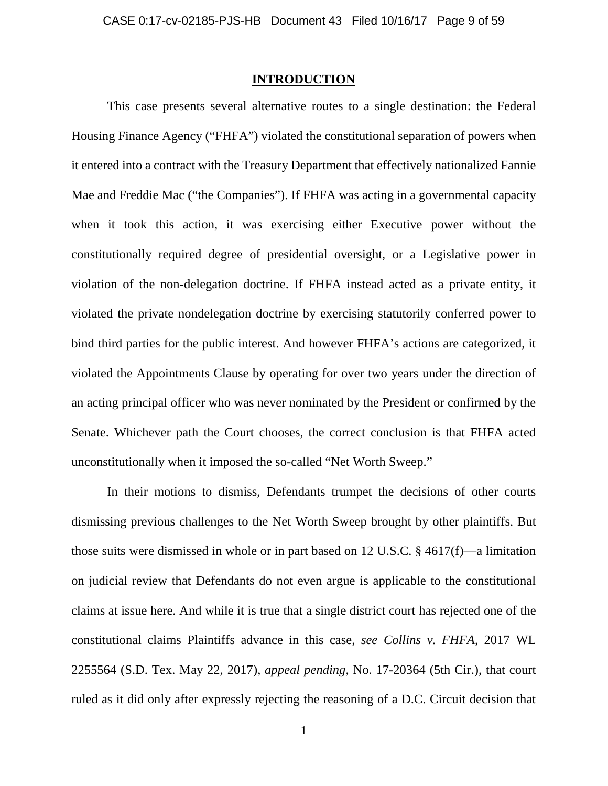### **INTRODUCTION**

This case presents several alternative routes to a single destination: the Federal Housing Finance Agency ("FHFA") violated the constitutional separation of powers when it entered into a contract with the Treasury Department that effectively nationalized Fannie Mae and Freddie Mac ("the Companies"). If FHFA was acting in a governmental capacity when it took this action, it was exercising either Executive power without the constitutionally required degree of presidential oversight, or a Legislative power in violation of the non-delegation doctrine. If FHFA instead acted as a private entity, it violated the private nondelegation doctrine by exercising statutorily conferred power to bind third parties for the public interest. And however FHFA's actions are categorized, it violated the Appointments Clause by operating for over two years under the direction of an acting principal officer who was never nominated by the President or confirmed by the Senate. Whichever path the Court chooses, the correct conclusion is that FHFA acted unconstitutionally when it imposed the so-called "Net Worth Sweep."

In their motions to dismiss, Defendants trumpet the decisions of other courts dismissing previous challenges to the Net Worth Sweep brought by other plaintiffs. But those suits were dismissed in whole or in part based on 12 U.S.C. § 4617(f)—a limitation on judicial review that Defendants do not even argue is applicable to the constitutional claims at issue here. And while it is true that a single district court has rejected one of the constitutional claims Plaintiffs advance in this case, *see Collins v. FHFA*, 2017 WL 2255564 (S.D. Tex. May 22, 2017), *appeal pending*, No. 17-20364 (5th Cir.), that court ruled as it did only after expressly rejecting the reasoning of a D.C. Circuit decision that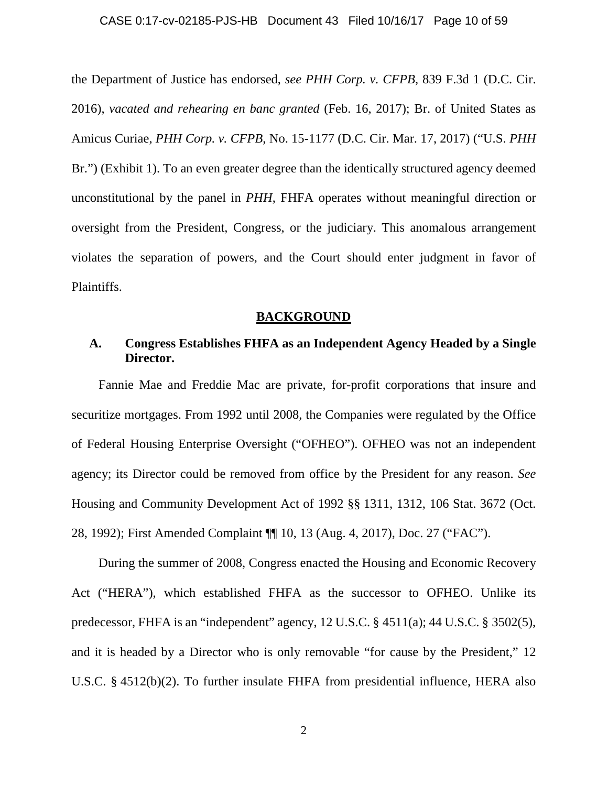the Department of Justice has endorsed, *see PHH Corp. v. CFPB*, 839 F.3d 1 (D.C. Cir. 2016), *vacated and rehearing en banc granted* (Feb. 16, 2017); Br. of United States as Amicus Curiae, *PHH Corp. v. CFPB*, No. 15-1177 (D.C. Cir. Mar. 17, 2017) ("U.S. *PHH*  Br.") (Exhibit 1). To an even greater degree than the identically structured agency deemed unconstitutional by the panel in *PHH*, FHFA operates without meaningful direction or oversight from the President, Congress, or the judiciary. This anomalous arrangement violates the separation of powers, and the Court should enter judgment in favor of Plaintiffs.

### **BACKGROUND**

### **A. Congress Establishes FHFA as an Independent Agency Headed by a Single Director.**

Fannie Mae and Freddie Mac are private, for-profit corporations that insure and securitize mortgages. From 1992 until 2008, the Companies were regulated by the Office of Federal Housing Enterprise Oversight ("OFHEO"). OFHEO was not an independent agency; its Director could be removed from office by the President for any reason. *See*  Housing and Community Development Act of 1992 §§ 1311, 1312, 106 Stat. 3672 (Oct. 28, 1992); First Amended Complaint ¶¶ 10, 13 (Aug. 4, 2017), Doc. 27 ("FAC").

During the summer of 2008, Congress enacted the Housing and Economic Recovery Act ("HERA"), which established FHFA as the successor to OFHEO. Unlike its predecessor, FHFA is an "independent" agency, 12 U.S.C. § 4511(a); 44 U.S.C. § 3502(5), and it is headed by a Director who is only removable "for cause by the President," 12 U.S.C. § 4512(b)(2). To further insulate FHFA from presidential influence, HERA also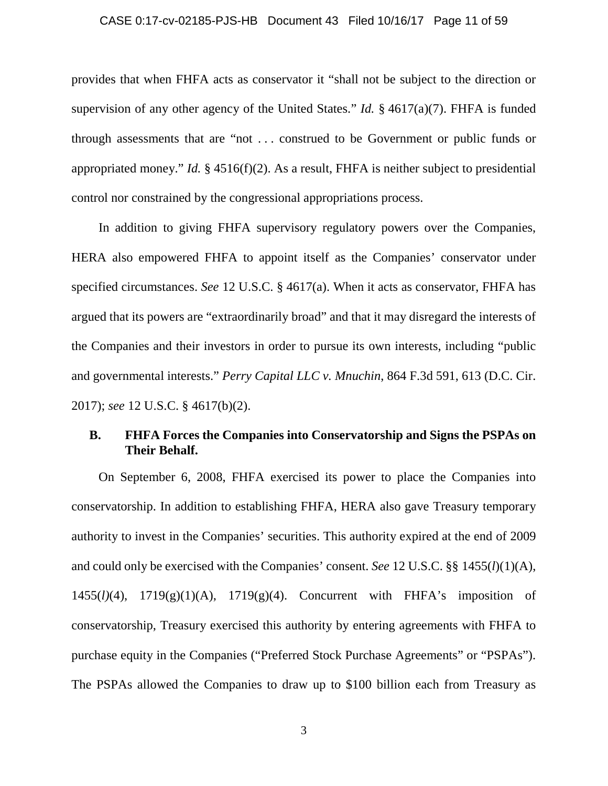#### CASE 0:17-cv-02185-PJS-HB Document 43 Filed 10/16/17 Page 11 of 59

provides that when FHFA acts as conservator it "shall not be subject to the direction or supervision of any other agency of the United States." *Id.* § 4617(a)(7). FHFA is funded through assessments that are "not . . . construed to be Government or public funds or appropriated money." *Id.* § 4516(f)(2). As a result, FHFA is neither subject to presidential control nor constrained by the congressional appropriations process.

In addition to giving FHFA supervisory regulatory powers over the Companies, HERA also empowered FHFA to appoint itself as the Companies' conservator under specified circumstances. *See* 12 U.S.C. § 4617(a). When it acts as conservator, FHFA has argued that its powers are "extraordinarily broad" and that it may disregard the interests of the Companies and their investors in order to pursue its own interests, including "public and governmental interests." *Perry Capital LLC v. Mnuchin*, 864 F.3d 591, 613 (D.C. Cir. 2017); *see* 12 U.S.C. § 4617(b)(2).

### **B. FHFA Forces the Companies into Conservatorship and Signs the PSPAs on Their Behalf.**

On September 6, 2008, FHFA exercised its power to place the Companies into conservatorship. In addition to establishing FHFA, HERA also gave Treasury temporary authority to invest in the Companies' securities. This authority expired at the end of 2009 and could only be exercised with the Companies' consent. *See* 12 U.S.C. §§ 1455(*l*)(1)(A), 1455(*l)*(4), 1719(g)(1)(A), 1719(g)(4). Concurrent with FHFA's imposition of conservatorship, Treasury exercised this authority by entering agreements with FHFA to purchase equity in the Companies ("Preferred Stock Purchase Agreements" or "PSPAs"). The PSPAs allowed the Companies to draw up to \$100 billion each from Treasury as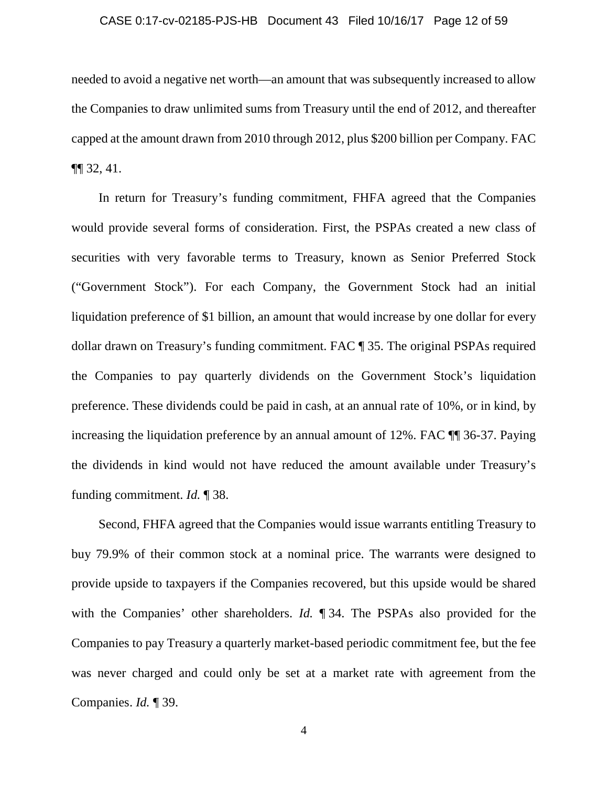#### CASE 0:17-cv-02185-PJS-HB Document 43 Filed 10/16/17 Page 12 of 59

needed to avoid a negative net worth—an amount that was subsequently increased to allow the Companies to draw unlimited sums from Treasury until the end of 2012, and thereafter capped at the amount drawn from 2010 through 2012, plus \$200 billion per Company. FAC  $\P\P$  32, 41.

In return for Treasury's funding commitment, FHFA agreed that the Companies would provide several forms of consideration. First, the PSPAs created a new class of securities with very favorable terms to Treasury, known as Senior Preferred Stock ("Government Stock"). For each Company, the Government Stock had an initial liquidation preference of \$1 billion, an amount that would increase by one dollar for every dollar drawn on Treasury's funding commitment. FAC ¶ 35. The original PSPAs required the Companies to pay quarterly dividends on the Government Stock's liquidation preference. These dividends could be paid in cash, at an annual rate of 10%, or in kind, by increasing the liquidation preference by an annual amount of 12%. FAC ¶¶ 36-37. Paying the dividends in kind would not have reduced the amount available under Treasury's funding commitment. *Id.* ¶ 38.

Second, FHFA agreed that the Companies would issue warrants entitling Treasury to buy 79.9% of their common stock at a nominal price. The warrants were designed to provide upside to taxpayers if the Companies recovered, but this upside would be shared with the Companies' other shareholders. *Id.* ¶ 34. The PSPAs also provided for the Companies to pay Treasury a quarterly market-based periodic commitment fee, but the fee was never charged and could only be set at a market rate with agreement from the Companies. *Id.* ¶ 39.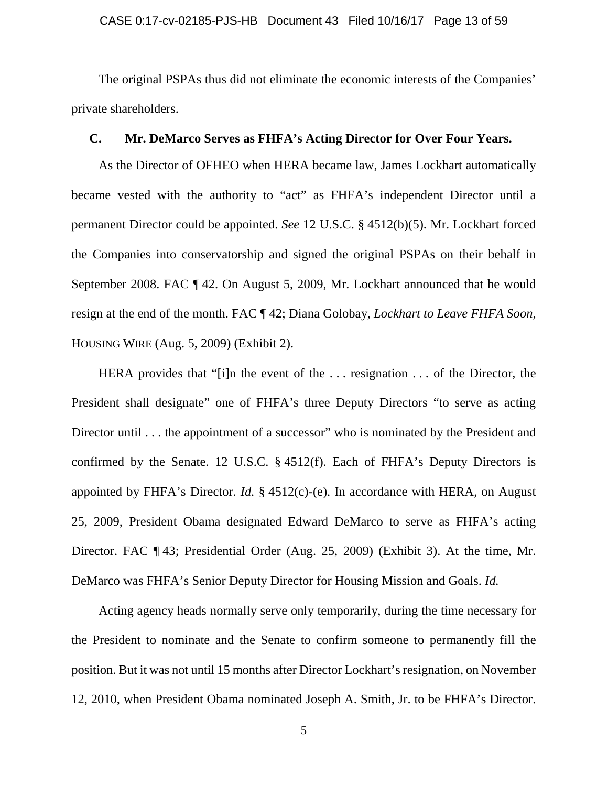#### CASE 0:17-cv-02185-PJS-HB Document 43 Filed 10/16/17 Page 13 of 59

The original PSPAs thus did not eliminate the economic interests of the Companies' private shareholders.

### **C. Mr. DeMarco Serves as FHFA's Acting Director for Over Four Years.**

As the Director of OFHEO when HERA became law, James Lockhart automatically became vested with the authority to "act" as FHFA's independent Director until a permanent Director could be appointed. *See* 12 U.S.C. § 4512(b)(5). Mr. Lockhart forced the Companies into conservatorship and signed the original PSPAs on their behalf in September 2008. FAC ¶ 42. On August 5, 2009, Mr. Lockhart announced that he would resign at the end of the month. FAC ¶ 42; Diana Golobay, *Lockhart to Leave FHFA Soon*, HOUSING WIRE (Aug. 5, 2009) (Exhibit 2).

HERA provides that "[i]n the event of the . . . resignation . . . of the Director, the President shall designate" one of FHFA's three Deputy Directors "to serve as acting Director until . . . the appointment of a successor" who is nominated by the President and confirmed by the Senate. 12 U.S.C. § 4512(f). Each of FHFA's Deputy Directors is appointed by FHFA's Director. *Id.* § 4512(c)-(e). In accordance with HERA, on August 25, 2009, President Obama designated Edward DeMarco to serve as FHFA's acting Director. FAC ¶ 43; Presidential Order (Aug. 25, 2009) (Exhibit 3). At the time, Mr. DeMarco was FHFA's Senior Deputy Director for Housing Mission and Goals. *Id.*

Acting agency heads normally serve only temporarily, during the time necessary for the President to nominate and the Senate to confirm someone to permanently fill the position. But it was not until 15 months after Director Lockhart's resignation, on November 12, 2010, when President Obama nominated Joseph A. Smith, Jr. to be FHFA's Director.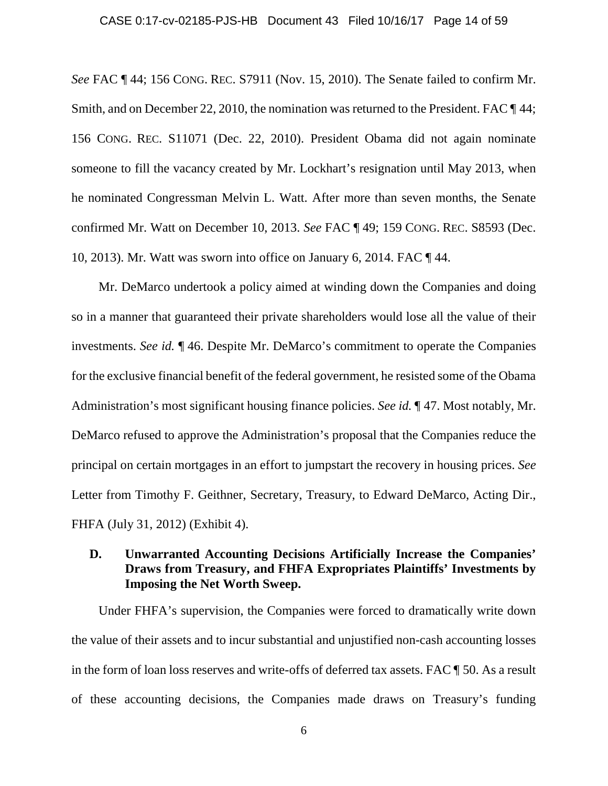#### CASE 0:17-cv-02185-PJS-HB Document 43 Filed 10/16/17 Page 14 of 59

*See* FAC ¶ 44; 156 CONG. REC. S7911 (Nov. 15, 2010). The Senate failed to confirm Mr. Smith, and on December 22, 2010, the nomination was returned to the President. FAC  $\P$  44; 156 CONG. REC. S11071 (Dec. 22, 2010). President Obama did not again nominate someone to fill the vacancy created by Mr. Lockhart's resignation until May 2013, when he nominated Congressman Melvin L. Watt. After more than seven months, the Senate confirmed Mr. Watt on December 10, 2013. *See* FAC ¶ 49; 159 CONG. REC. S8593 (Dec. 10, 2013). Mr. Watt was sworn into office on January 6, 2014. FAC ¶ 44.

Mr. DeMarco undertook a policy aimed at winding down the Companies and doing so in a manner that guaranteed their private shareholders would lose all the value of their investments. *See id.* ¶ 46. Despite Mr. DeMarco's commitment to operate the Companies for the exclusive financial benefit of the federal government, he resisted some of the Obama Administration's most significant housing finance policies. *See id.* ¶ 47. Most notably, Mr. DeMarco refused to approve the Administration's proposal that the Companies reduce the principal on certain mortgages in an effort to jumpstart the recovery in housing prices. *See*  Letter from Timothy F. Geithner, Secretary, Treasury, to Edward DeMarco, Acting Dir., FHFA (July 31, 2012) (Exhibit 4).

# **D. Unwarranted Accounting Decisions Artificially Increase the Companies' Draws from Treasury, and FHFA Expropriates Plaintiffs' Investments by Imposing the Net Worth Sweep.**

Under FHFA's supervision, the Companies were forced to dramatically write down the value of their assets and to incur substantial and unjustified non-cash accounting losses in the form of loan loss reserves and write-offs of deferred tax assets. FAC ¶ 50. As a result of these accounting decisions, the Companies made draws on Treasury's funding

6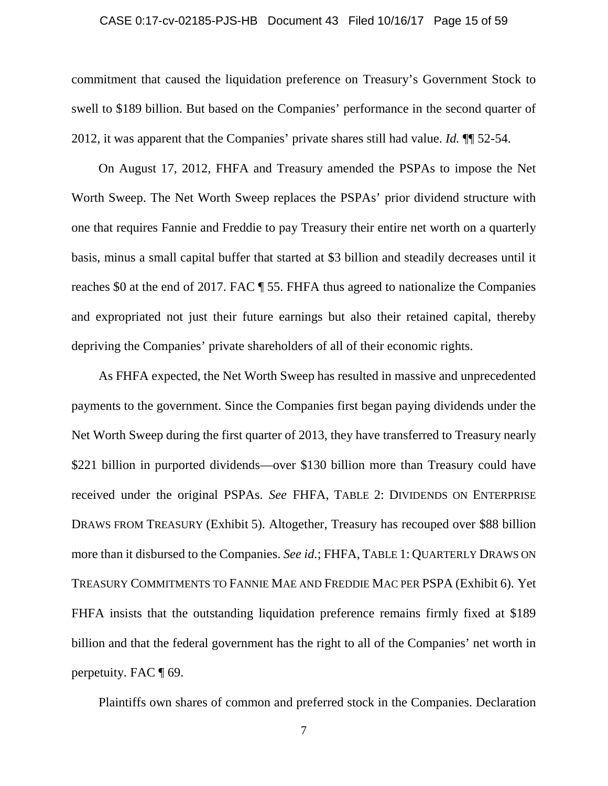#### CASE 0:17-cv-02185-PJS-HB Document 43 Filed 10/16/17 Page 15 of 59

commitment that caused the liquidation preference on Treasury's Government Stock to swell to \$189 billion. But based on the Companies' performance in the second quarter of 2012, it was apparent that the Companies' private shares still had value. *Id.* ¶¶ 52-54.

On August 17, 2012, FHFA and Treasury amended the PSPAs to impose the Net Worth Sweep. The Net Worth Sweep replaces the PSPAs' prior dividend structure with one that requires Fannie and Freddie to pay Treasury their entire net worth on a quarterly basis, minus a small capital buffer that started at \$3 billion and steadily decreases until it reaches \$0 at the end of 2017. FAC ¶ 55. FHFA thus agreed to nationalize the Companies and expropriated not just their future earnings but also their retained capital, thereby depriving the Companies' private shareholders of all of their economic rights.

As FHFA expected, the Net Worth Sweep has resulted in massive and unprecedented payments to the government. Since the Companies first began paying dividends under the Net Worth Sweep during the first quarter of 2013, they have transferred to Treasury nearly \$221 billion in purported dividends—over \$130 billion more than Treasury could have received under the original PSPAs. *See* FHFA, TABLE 2: DIVIDENDS ON ENTERPRISE DRAWS FROM TREASURY (Exhibit 5). Altogether, Treasury has recouped over \$88 billion more than it disbursed to the Companies. *See id.*; FHFA, TABLE 1: QUARTERLY DRAWS ON TREASURY COMMITMENTS TO FANNIE MAE AND FREDDIE MAC PER PSPA (Exhibit 6). Yet FHFA insists that the outstanding liquidation preference remains firmly fixed at \$189 billion and that the federal government has the right to all of the Companies' net worth in perpetuity. FAC ¶ 69.

Plaintiffs own shares of common and preferred stock in the Companies. Declaration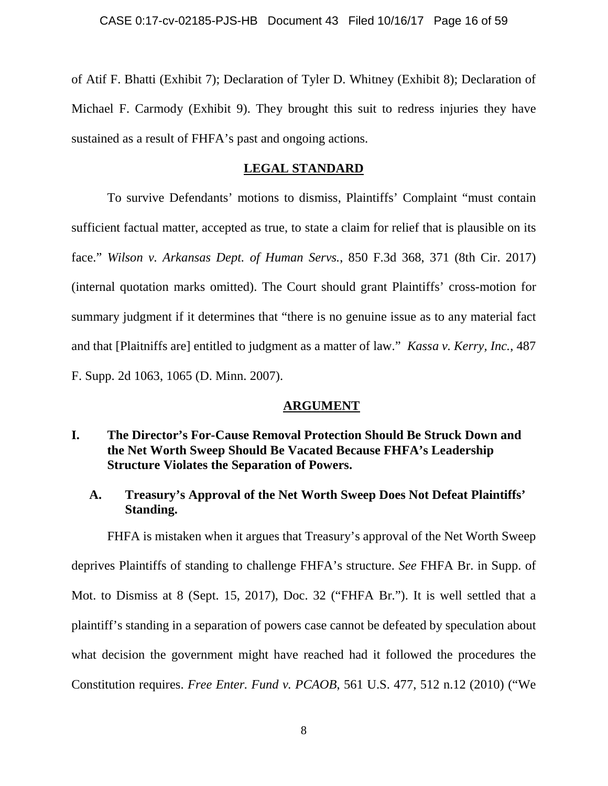of Atif F. Bhatti (Exhibit 7); Declaration of Tyler D. Whitney (Exhibit 8); Declaration of Michael F. Carmody (Exhibit 9). They brought this suit to redress injuries they have sustained as a result of FHFA's past and ongoing actions.

### **LEGAL STANDARD**

To survive Defendants' motions to dismiss, Plaintiffs' Complaint "must contain sufficient factual matter, accepted as true, to state a claim for relief that is plausible on its face." *Wilson v. Arkansas Dept. of Human Servs.*, 850 F.3d 368, 371 (8th Cir. 2017) (internal quotation marks omitted). The Court should grant Plaintiffs' cross-motion for summary judgment if it determines that "there is no genuine issue as to any material fact and that [Plaitniffs are] entitled to judgment as a matter of law." *Kassa v. Kerry, Inc.*, 487 F. Supp. 2d 1063, 1065 (D. Minn. 2007).

### **ARGUMENT**

## **I. The Director's For-Cause Removal Protection Should Be Struck Down and the Net Worth Sweep Should Be Vacated Because FHFA's Leadership Structure Violates the Separation of Powers.**

# **A. Treasury's Approval of the Net Worth Sweep Does Not Defeat Plaintiffs' Standing.**

FHFA is mistaken when it argues that Treasury's approval of the Net Worth Sweep deprives Plaintiffs of standing to challenge FHFA's structure. *See* FHFA Br. in Supp. of Mot. to Dismiss at 8 (Sept. 15, 2017), Doc. 32 ("FHFA Br."). It is well settled that a plaintiff's standing in a separation of powers case cannot be defeated by speculation about what decision the government might have reached had it followed the procedures the Constitution requires. *Free Enter. Fund v. PCAOB*, 561 U.S. 477, 512 n.12 (2010) ("We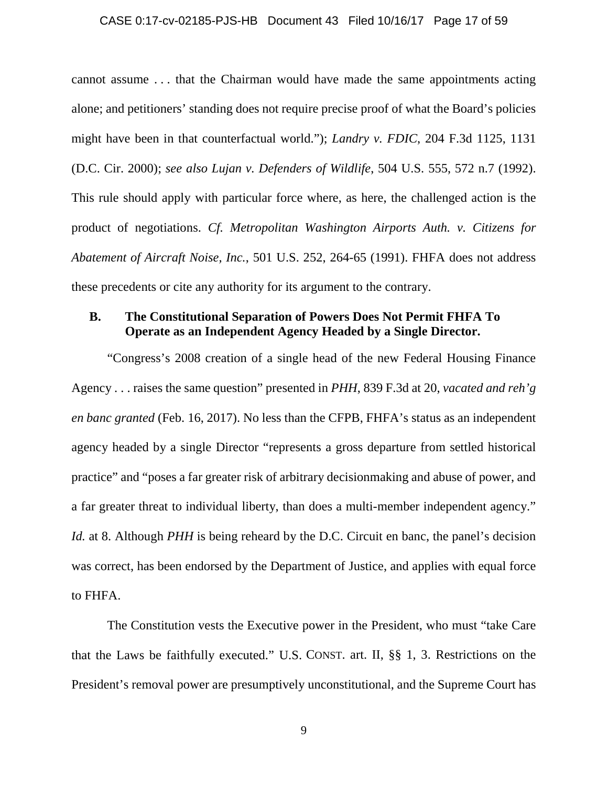#### CASE 0:17-cv-02185-PJS-HB Document 43 Filed 10/16/17 Page 17 of 59

cannot assume . . . that the Chairman would have made the same appointments acting alone; and petitioners' standing does not require precise proof of what the Board's policies might have been in that counterfactual world."); *Landry v. FDIC*, 204 F.3d 1125, 1131 (D.C. Cir. 2000); *see also Lujan v. Defenders of Wildlife*, 504 U.S. 555, 572 n.7 (1992). This rule should apply with particular force where, as here, the challenged action is the product of negotiations. *Cf. Metropolitan Washington Airports Auth. v. Citizens for Abatement of Aircraft Noise, Inc.*, 501 U.S. 252, 264-65 (1991). FHFA does not address these precedents or cite any authority for its argument to the contrary.

### **B. The Constitutional Separation of Powers Does Not Permit FHFA To Operate as an Independent Agency Headed by a Single Director.**

"Congress's 2008 creation of a single head of the new Federal Housing Finance Agency . . . raises the same question" presented in *PHH*, 839 F.3d at 20, *vacated and reh'g en banc granted* (Feb. 16, 2017). No less than the CFPB, FHFA's status as an independent agency headed by a single Director "represents a gross departure from settled historical practice" and "poses a far greater risk of arbitrary decisionmaking and abuse of power, and a far greater threat to individual liberty, than does a multi-member independent agency." *Id.* at 8. Although *PHH* is being reheard by the D.C. Circuit en banc, the panel's decision was correct, has been endorsed by the Department of Justice, and applies with equal force to FHFA.

The Constitution vests the Executive power in the President, who must "take Care that the Laws be faithfully executed." U.S. CONST. art. II, §§ 1, 3. Restrictions on the President's removal power are presumptively unconstitutional, and the Supreme Court has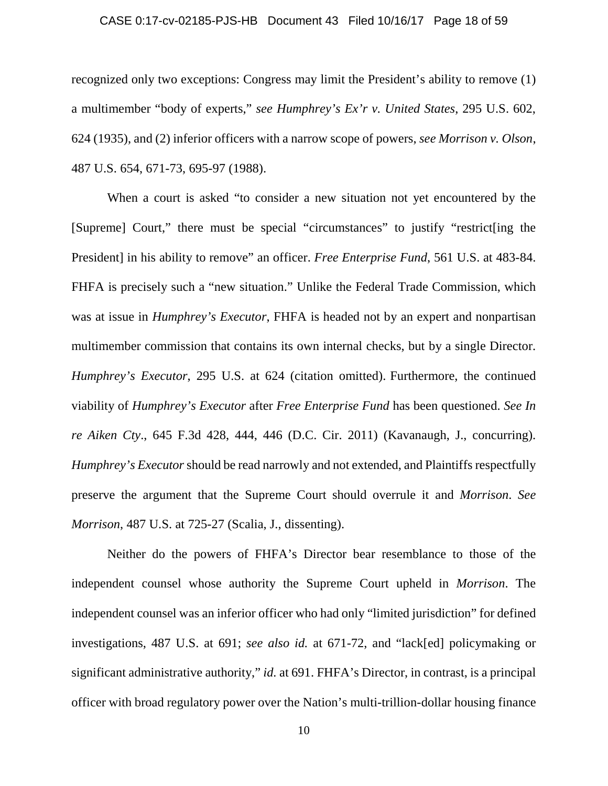#### CASE 0:17-cv-02185-PJS-HB Document 43 Filed 10/16/17 Page 18 of 59

recognized only two exceptions: Congress may limit the President's ability to remove (1) a multimember "body of experts," *see Humphrey's Ex'r v. United States*, 295 U.S. 602, 624 (1935), and (2) inferior officers with a narrow scope of powers, *see Morrison v. Olson*, 487 U.S. 654, 671-73, 695-97 (1988).

When a court is asked "to consider a new situation not yet encountered by the [Supreme] Court," there must be special "circumstances" to justify "restrict[ing the President] in his ability to remove" an officer. *Free Enterprise Fund*, 561 U.S. at 483-84. FHFA is precisely such a "new situation." Unlike the Federal Trade Commission, which was at issue in *Humphrey's Executor*, FHFA is headed not by an expert and nonpartisan multimember commission that contains its own internal checks, but by a single Director. *Humphrey's Executor*, 295 U.S. at 624 (citation omitted). Furthermore, the continued viability of *Humphrey's Executor* after *Free Enterprise Fund* has been questioned. *See In re Aiken Cty*., 645 F.3d 428, 444, 446 (D.C. Cir. 2011) (Kavanaugh, J., concurring). *Humphrey's Executor* should be read narrowly and not extended, and Plaintiffs respectfully preserve the argument that the Supreme Court should overrule it and *Morrison*. *See Morrison*, 487 U.S. at 725-27 (Scalia, J., dissenting).

Neither do the powers of FHFA's Director bear resemblance to those of the independent counsel whose authority the Supreme Court upheld in *Morrison*. The independent counsel was an inferior officer who had only "limited jurisdiction" for defined investigations, 487 U.S. at 691; *see also id.* at 671-72, and "lack[ed] policymaking or significant administrative authority," *id.* at 691. FHFA's Director, in contrast, is a principal officer with broad regulatory power over the Nation's multi-trillion-dollar housing finance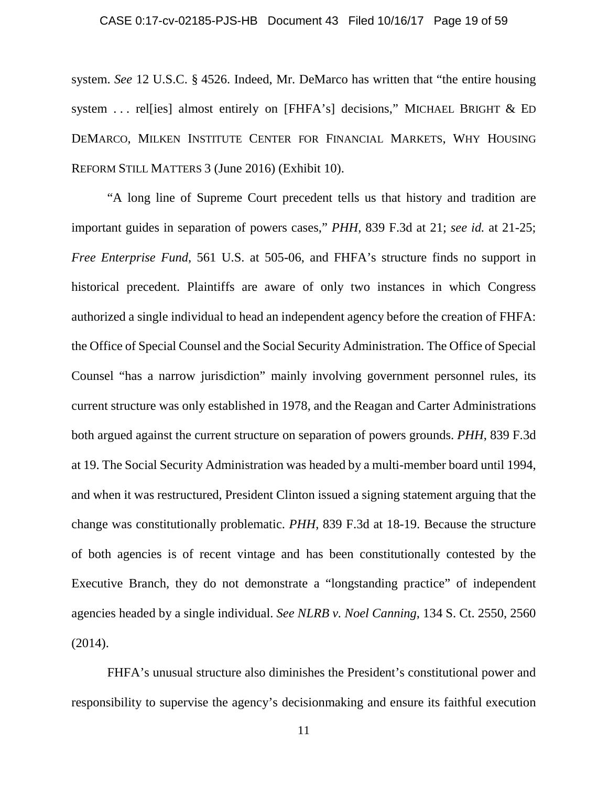#### CASE 0:17-cv-02185-PJS-HB Document 43 Filed 10/16/17 Page 19 of 59

system. *See* 12 U.S.C. § 4526. Indeed, Mr. DeMarco has written that "the entire housing system ... rel[ies] almost entirely on [FHFA's] decisions," MICHAEL BRIGHT & ED DEMARCO, MILKEN INSTITUTE CENTER FOR FINANCIAL MARKETS, WHY HOUSING REFORM STILL MATTERS 3 (June 2016) (Exhibit 10).

"A long line of Supreme Court precedent tells us that history and tradition are important guides in separation of powers cases," *PHH*, 839 F.3d at 21; *see id.* at 21-25; *Free Enterprise Fund*, 561 U.S. at 505-06, and FHFA's structure finds no support in historical precedent. Plaintiffs are aware of only two instances in which Congress authorized a single individual to head an independent agency before the creation of FHFA: the Office of Special Counsel and the Social Security Administration. The Office of Special Counsel "has a narrow jurisdiction" mainly involving government personnel rules, its current structure was only established in 1978, and the Reagan and Carter Administrations both argued against the current structure on separation of powers grounds. *PHH*, 839 F.3d at 19. The Social Security Administration was headed by a multi-member board until 1994, and when it was restructured, President Clinton issued a signing statement arguing that the change was constitutionally problematic. *PHH*, 839 F.3d at 18-19. Because the structure of both agencies is of recent vintage and has been constitutionally contested by the Executive Branch, they do not demonstrate a "longstanding practice" of independent agencies headed by a single individual. *See NLRB v. Noel Canning*, 134 S. Ct. 2550, 2560 (2014).

FHFA's unusual structure also diminishes the President's constitutional power and responsibility to supervise the agency's decisionmaking and ensure its faithful execution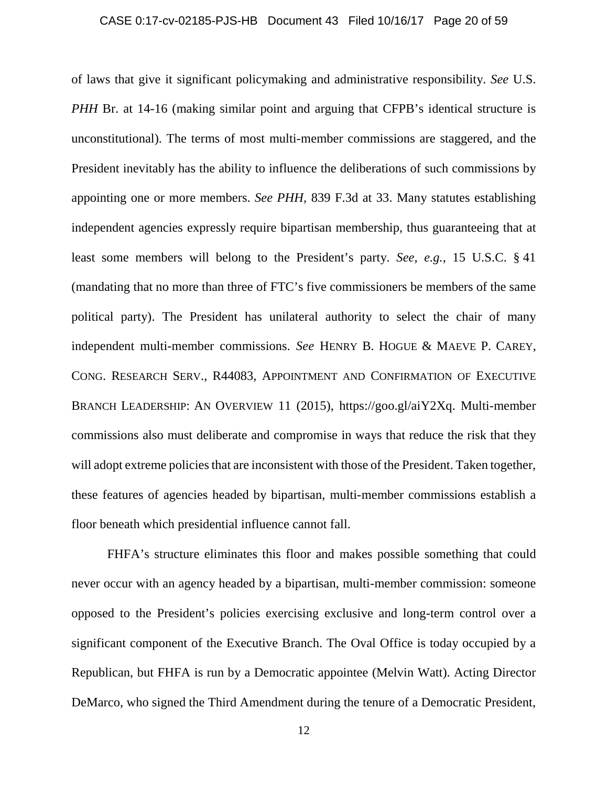#### CASE 0:17-cv-02185-PJS-HB Document 43 Filed 10/16/17 Page 20 of 59

of laws that give it significant policymaking and administrative responsibility. *See* U.S. *PHH* Br. at 14-16 (making similar point and arguing that CFPB's identical structure is unconstitutional). The terms of most multi-member commissions are staggered, and the President inevitably has the ability to influence the deliberations of such commissions by appointing one or more members. *See PHH*, 839 F.3d at 33. Many statutes establishing independent agencies expressly require bipartisan membership, thus guaranteeing that at least some members will belong to the President's party. *See, e.g.*, 15 U.S.C. § 41 (mandating that no more than three of FTC's five commissioners be members of the same political party). The President has unilateral authority to select the chair of many independent multi-member commissions. *See* HENRY B. HOGUE & MAEVE P. CAREY, CONG. RESEARCH SERV., R44083, APPOINTMENT AND CONFIRMATION OF EXECUTIVE BRANCH LEADERSHIP: AN OVERVIEW 11 (2015), https://goo.gl/aiY2Xq. Multi-member commissions also must deliberate and compromise in ways that reduce the risk that they will adopt extreme policies that are inconsistent with those of the President. Taken together, these features of agencies headed by bipartisan, multi-member commissions establish a floor beneath which presidential influence cannot fall.

FHFA's structure eliminates this floor and makes possible something that could never occur with an agency headed by a bipartisan, multi-member commission: someone opposed to the President's policies exercising exclusive and long-term control over a significant component of the Executive Branch. The Oval Office is today occupied by a Republican, but FHFA is run by a Democratic appointee (Melvin Watt). Acting Director DeMarco, who signed the Third Amendment during the tenure of a Democratic President,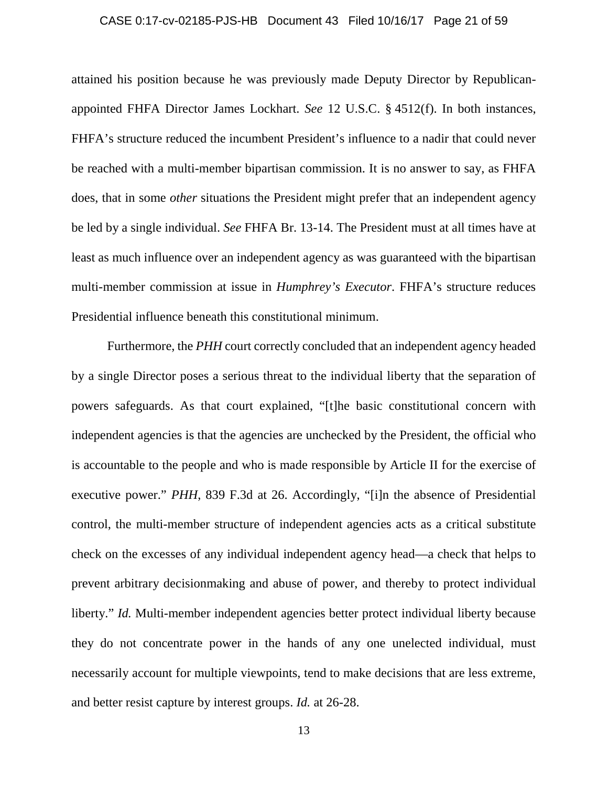#### CASE 0:17-cv-02185-PJS-HB Document 43 Filed 10/16/17 Page 21 of 59

attained his position because he was previously made Deputy Director by Republicanappointed FHFA Director James Lockhart. *See* 12 U.S.C. § 4512(f). In both instances, FHFA's structure reduced the incumbent President's influence to a nadir that could never be reached with a multi-member bipartisan commission. It is no answer to say, as FHFA does, that in some *other* situations the President might prefer that an independent agency be led by a single individual. *See* FHFA Br. 13-14. The President must at all times have at least as much influence over an independent agency as was guaranteed with the bipartisan multi-member commission at issue in *Humphrey's Executor*. FHFA's structure reduces Presidential influence beneath this constitutional minimum.

Furthermore, the *PHH* court correctly concluded that an independent agency headed by a single Director poses a serious threat to the individual liberty that the separation of powers safeguards. As that court explained, "[t]he basic constitutional concern with independent agencies is that the agencies are unchecked by the President, the official who is accountable to the people and who is made responsible by Article II for the exercise of executive power." *PHH*, 839 F.3d at 26. Accordingly, "[i]n the absence of Presidential control, the multi-member structure of independent agencies acts as a critical substitute check on the excesses of any individual independent agency head—a check that helps to prevent arbitrary decisionmaking and abuse of power, and thereby to protect individual liberty." *Id.* Multi-member independent agencies better protect individual liberty because they do not concentrate power in the hands of any one unelected individual, must necessarily account for multiple viewpoints, tend to make decisions that are less extreme, and better resist capture by interest groups. *Id.* at 26-28.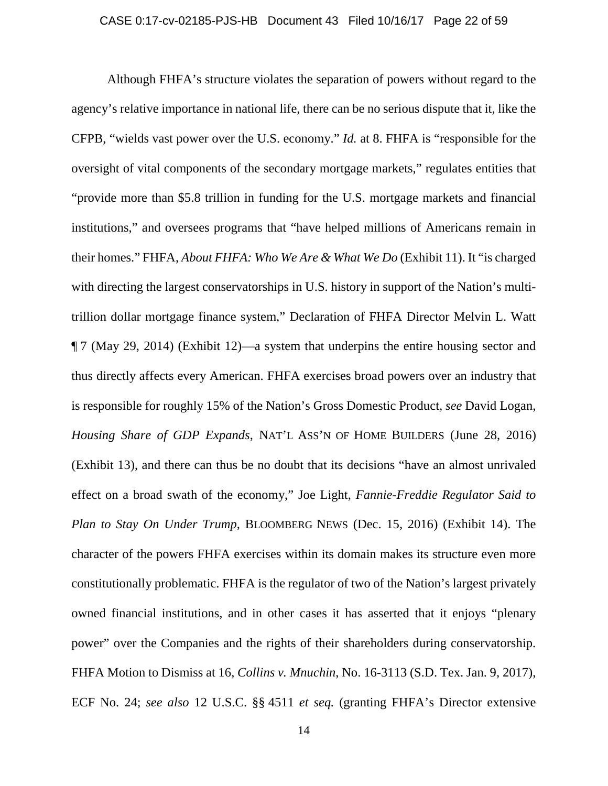#### CASE 0:17-cv-02185-PJS-HB Document 43 Filed 10/16/17 Page 22 of 59

Although FHFA's structure violates the separation of powers without regard to the agency's relative importance in national life, there can be no serious dispute that it, like the CFPB, "wields vast power over the U.S. economy." *Id.* at 8. FHFA is "responsible for the oversight of vital components of the secondary mortgage markets," regulates entities that "provide more than \$5.8 trillion in funding for the U.S. mortgage markets and financial institutions," and oversees programs that "have helped millions of Americans remain in their homes." FHFA, *About FHFA: Who We Are & What We Do* (Exhibit 11). It "is charged with directing the largest conservatorships in U.S. history in support of the Nation's multitrillion dollar mortgage finance system," Declaration of FHFA Director Melvin L. Watt ¶ 7 (May 29, 2014) (Exhibit 12)—a system that underpins the entire housing sector and thus directly affects every American. FHFA exercises broad powers over an industry that is responsible for roughly 15% of the Nation's Gross Domestic Product, *see* David Logan, *Housing Share of GDP Expands*, NAT'L ASS'N OF HOME BUILDERS (June 28, 2016) (Exhibit 13), and there can thus be no doubt that its decisions "have an almost unrivaled effect on a broad swath of the economy," Joe Light, *Fannie-Freddie Regulator Said to Plan to Stay On Under Trump*, BLOOMBERG NEWS (Dec. 15, 2016) (Exhibit 14). The character of the powers FHFA exercises within its domain makes its structure even more constitutionally problematic. FHFA is the regulator of two of the Nation's largest privately owned financial institutions, and in other cases it has asserted that it enjoys "plenary power" over the Companies and the rights of their shareholders during conservatorship. FHFA Motion to Dismiss at 16, *Collins v. Mnuchin*, No. 16-3113 (S.D. Tex. Jan. 9, 2017), ECF No. 24; *see also* 12 U.S.C. §§ 4511 *et seq.* (granting FHFA's Director extensive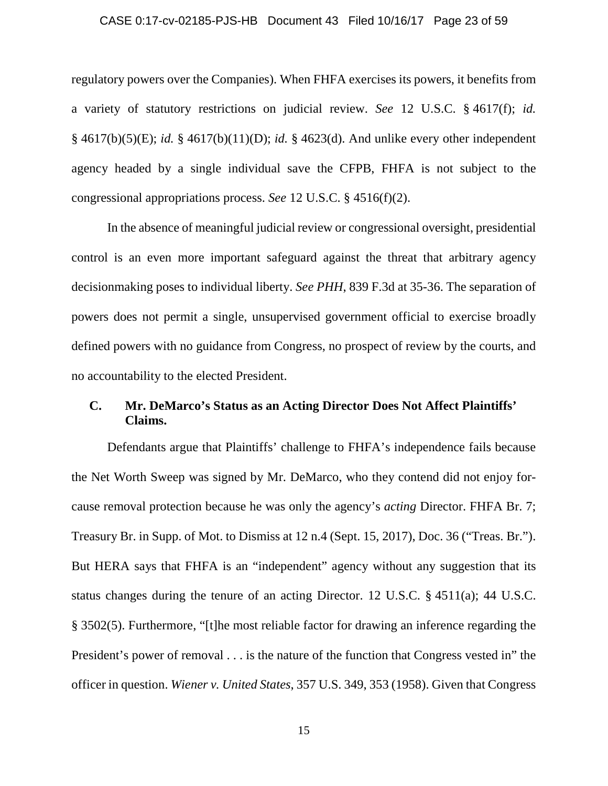#### CASE 0:17-cv-02185-PJS-HB Document 43 Filed 10/16/17 Page 23 of 59

regulatory powers over the Companies). When FHFA exercises its powers, it benefits from a variety of statutory restrictions on judicial review. *See* 12 U.S.C. § 4617(f); *id.*  § 4617(b)(5)(E); *id.* § 4617(b)(11)(D); *id.* § 4623(d). And unlike every other independent agency headed by a single individual save the CFPB, FHFA is not subject to the congressional appropriations process. *See* 12 U.S.C. § 4516(f)(2).

In the absence of meaningful judicial review or congressional oversight, presidential control is an even more important safeguard against the threat that arbitrary agency decisionmaking poses to individual liberty. *See PHH*, 839 F.3d at 35-36. The separation of powers does not permit a single, unsupervised government official to exercise broadly defined powers with no guidance from Congress, no prospect of review by the courts, and no accountability to the elected President.

# **C. Mr. DeMarco's Status as an Acting Director Does Not Affect Plaintiffs' Claims.**

Defendants argue that Plaintiffs' challenge to FHFA's independence fails because the Net Worth Sweep was signed by Mr. DeMarco, who they contend did not enjoy forcause removal protection because he was only the agency's *acting* Director. FHFA Br. 7; Treasury Br. in Supp. of Mot. to Dismiss at 12 n.4 (Sept. 15, 2017), Doc. 36 ("Treas. Br."). But HERA says that FHFA is an "independent" agency without any suggestion that its status changes during the tenure of an acting Director. 12 U.S.C. § 4511(a); 44 U.S.C. § 3502(5). Furthermore, "[t]he most reliable factor for drawing an inference regarding the President's power of removal . . . is the nature of the function that Congress vested in" the officer in question. *Wiener v. United States*, 357 U.S. 349, 353 (1958). Given that Congress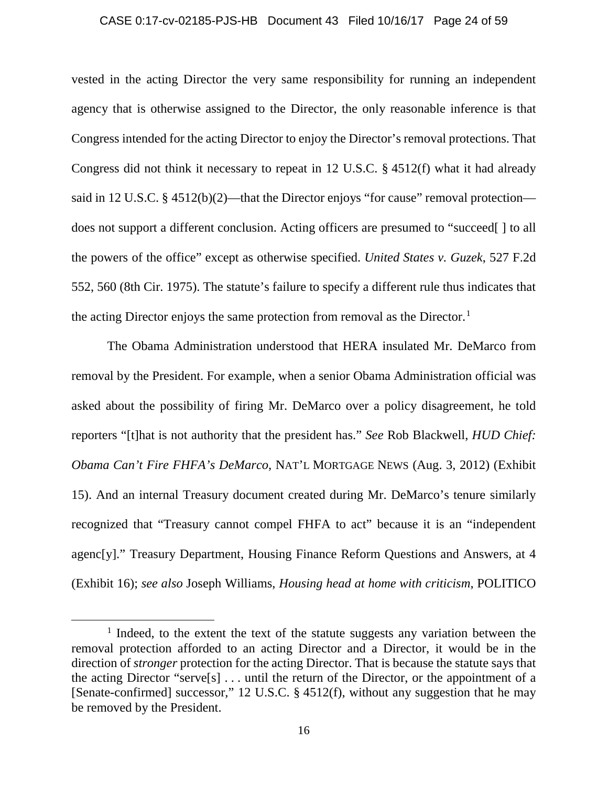#### CASE 0:17-cv-02185-PJS-HB Document 43 Filed 10/16/17 Page 24 of 59

vested in the acting Director the very same responsibility for running an independent agency that is otherwise assigned to the Director, the only reasonable inference is that Congress intended for the acting Director to enjoy the Director's removal protections. That Congress did not think it necessary to repeat in 12 U.S.C. § 4512(f) what it had already said in 12 U.S.C. § 4512(b)(2)—that the Director enjoys "for cause" removal protection does not support a different conclusion. Acting officers are presumed to "succeed[ ] to all the powers of the office" except as otherwise specified. *United States v. Guzek*, 527 F.2d 552, 560 (8th Cir. 1975). The statute's failure to specify a different rule thus indicates that the acting Director enjoys the same protection from removal as the Director.<sup>[1](#page-23-0)</sup>

The Obama Administration understood that HERA insulated Mr. DeMarco from removal by the President. For example, when a senior Obama Administration official was asked about the possibility of firing Mr. DeMarco over a policy disagreement, he told reporters "[t]hat is not authority that the president has." *See* Rob Blackwell, *HUD Chief: Obama Can't Fire FHFA's DeMarco*, NAT'L MORTGAGE NEWS (Aug. 3, 2012) (Exhibit 15). And an internal Treasury document created during Mr. DeMarco's tenure similarly recognized that "Treasury cannot compel FHFA to act" because it is an "independent agenc[y]." Treasury Department, Housing Finance Reform Questions and Answers, at 4 (Exhibit 16); *see also* Joseph Williams, *Housing head at home with criticism*, POLITICO

l

<span id="page-23-0"></span><sup>&</sup>lt;sup>1</sup> Indeed, to the extent the text of the statute suggests any variation between the removal protection afforded to an acting Director and a Director, it would be in the direction of *stronger* protection for the acting Director. That is because the statute says that the acting Director "serve[s] . . . until the return of the Director, or the appointment of a [Senate-confirmed] successor," 12 U.S.C. § 4512(f), without any suggestion that he may be removed by the President.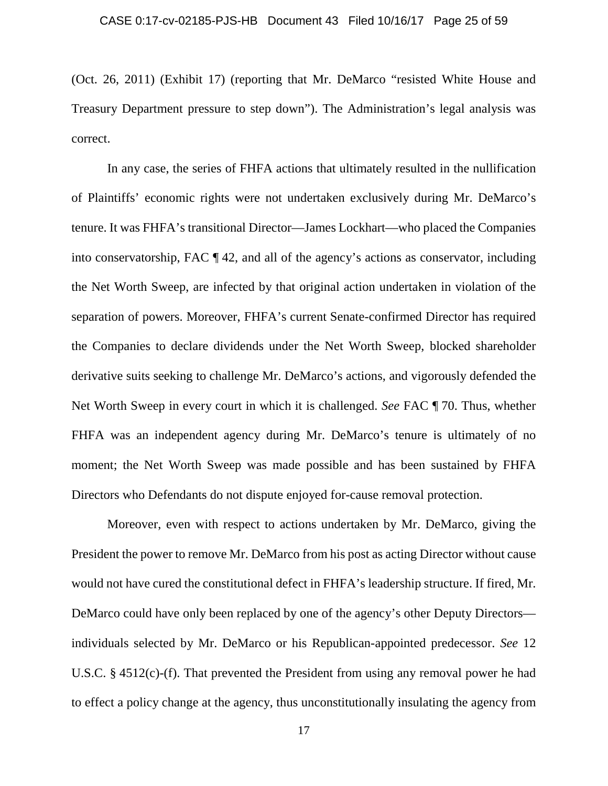(Oct. 26, 2011) (Exhibit 17) (reporting that Mr. DeMarco "resisted White House and Treasury Department pressure to step down"). The Administration's legal analysis was correct.

In any case, the series of FHFA actions that ultimately resulted in the nullification of Plaintiffs' economic rights were not undertaken exclusively during Mr. DeMarco's tenure. It was FHFA's transitional Director—James Lockhart—who placed the Companies into conservatorship, FAC ¶ 42, and all of the agency's actions as conservator, including the Net Worth Sweep, are infected by that original action undertaken in violation of the separation of powers. Moreover, FHFA's current Senate-confirmed Director has required the Companies to declare dividends under the Net Worth Sweep, blocked shareholder derivative suits seeking to challenge Mr. DeMarco's actions, and vigorously defended the Net Worth Sweep in every court in which it is challenged. *See* FAC ¶ 70. Thus, whether FHFA was an independent agency during Mr. DeMarco's tenure is ultimately of no moment; the Net Worth Sweep was made possible and has been sustained by FHFA Directors who Defendants do not dispute enjoyed for-cause removal protection.

Moreover, even with respect to actions undertaken by Mr. DeMarco, giving the President the power to remove Mr. DeMarco from his post as acting Director without cause would not have cured the constitutional defect in FHFA's leadership structure. If fired, Mr. DeMarco could have only been replaced by one of the agency's other Deputy Directors individuals selected by Mr. DeMarco or his Republican-appointed predecessor. *See* 12 U.S.C. § 4512(c)-(f). That prevented the President from using any removal power he had to effect a policy change at the agency, thus unconstitutionally insulating the agency from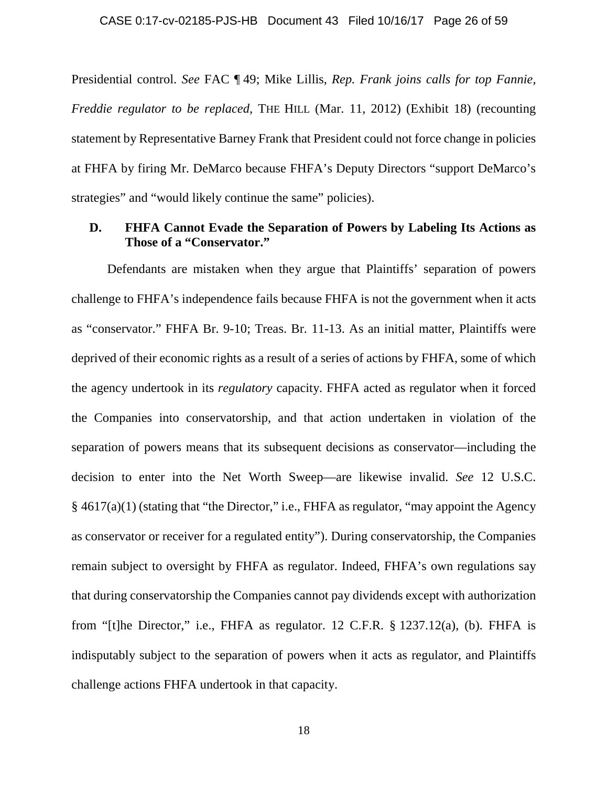Presidential control. *See* FAC ¶ 49; Mike Lillis, *Rep. Frank joins calls for top Fannie, Freddie regulator to be replaced*, THE HILL (Mar. 11, 2012) (Exhibit 18) (recounting statement by Representative Barney Frank that President could not force change in policies at FHFA by firing Mr. DeMarco because FHFA's Deputy Directors "support DeMarco's strategies" and "would likely continue the same" policies).

### **D. FHFA Cannot Evade the Separation of Powers by Labeling Its Actions as Those of a "Conservator."**

Defendants are mistaken when they argue that Plaintiffs' separation of powers challenge to FHFA's independence fails because FHFA is not the government when it acts as "conservator." FHFA Br. 9-10; Treas. Br. 11-13. As an initial matter, Plaintiffs were deprived of their economic rights as a result of a series of actions by FHFA, some of which the agency undertook in its *regulatory* capacity. FHFA acted as regulator when it forced the Companies into conservatorship, and that action undertaken in violation of the separation of powers means that its subsequent decisions as conservator—including the decision to enter into the Net Worth Sweep—are likewise invalid. *See* 12 U.S.C. § 4617(a)(1) (stating that "the Director," i.e., FHFA as regulator, "may appoint the Agency as conservator or receiver for a regulated entity"). During conservatorship, the Companies remain subject to oversight by FHFA as regulator. Indeed, FHFA's own regulations say that during conservatorship the Companies cannot pay dividends except with authorization from "[t]he Director," i.e., FHFA as regulator. 12 C.F.R.  $\S$  1237.12(a), (b). FHFA is indisputably subject to the separation of powers when it acts as regulator, and Plaintiffs challenge actions FHFA undertook in that capacity.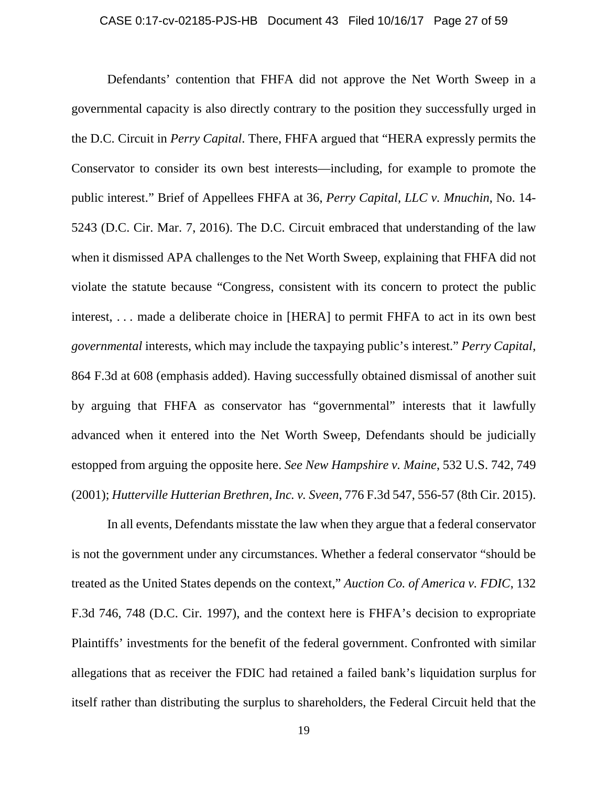#### CASE 0:17-cv-02185-PJS-HB Document 43 Filed 10/16/17 Page 27 of 59

Defendants' contention that FHFA did not approve the Net Worth Sweep in a governmental capacity is also directly contrary to the position they successfully urged in the D.C. Circuit in *Perry Capital*. There, FHFA argued that "HERA expressly permits the Conservator to consider its own best interests—including, for example to promote the public interest." Brief of Appellees FHFA at 36, *Perry Capital, LLC v. Mnuchin*, No. 14- 5243 (D.C. Cir. Mar. 7, 2016). The D.C. Circuit embraced that understanding of the law when it dismissed APA challenges to the Net Worth Sweep, explaining that FHFA did not violate the statute because "Congress, consistent with its concern to protect the public interest, . . . made a deliberate choice in [HERA] to permit FHFA to act in its own best *governmental* interests, which may include the taxpaying public's interest." *Perry Capital*, 864 F.3d at 608 (emphasis added). Having successfully obtained dismissal of another suit by arguing that FHFA as conservator has "governmental" interests that it lawfully advanced when it entered into the Net Worth Sweep, Defendants should be judicially estopped from arguing the opposite here. *See New Hampshire v. Maine*, 532 U.S. 742, 749 (2001); *Hutterville Hutterian Brethren, Inc. v. Sveen*, 776 F.3d 547, 556-57 (8th Cir. 2015).

In all events, Defendants misstate the law when they argue that a federal conservator is not the government under any circumstances. Whether a federal conservator "should be treated as the United States depends on the context," *Auction Co. of America v. FDIC*, 132 F.3d 746, 748 (D.C. Cir. 1997), and the context here is FHFA's decision to expropriate Plaintiffs' investments for the benefit of the federal government. Confronted with similar allegations that as receiver the FDIC had retained a failed bank's liquidation surplus for itself rather than distributing the surplus to shareholders, the Federal Circuit held that the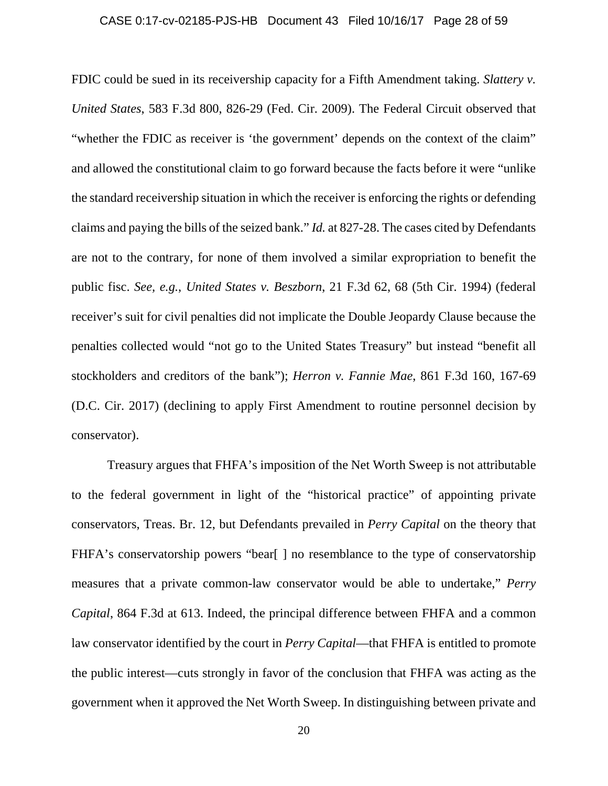#### CASE 0:17-cv-02185-PJS-HB Document 43 Filed 10/16/17 Page 28 of 59

FDIC could be sued in its receivership capacity for a Fifth Amendment taking. *Slattery v. United States*, 583 F.3d 800, 826-29 (Fed. Cir. 2009). The Federal Circuit observed that "whether the FDIC as receiver is 'the government' depends on the context of the claim" and allowed the constitutional claim to go forward because the facts before it were "unlike the standard receivership situation in which the receiver is enforcing the rights or defending claims and paying the bills of the seized bank." *Id.* at 827-28. The cases cited by Defendants are not to the contrary, for none of them involved a similar expropriation to benefit the public fisc. *See, e.g.*, *United States v. Beszborn*, 21 F.3d 62, 68 (5th Cir. 1994) (federal receiver's suit for civil penalties did not implicate the Double Jeopardy Clause because the penalties collected would "not go to the United States Treasury" but instead "benefit all stockholders and creditors of the bank"); *Herron v. Fannie Mae*, 861 F.3d 160, 167-69 (D.C. Cir. 2017) (declining to apply First Amendment to routine personnel decision by conservator).

Treasury argues that FHFA's imposition of the Net Worth Sweep is not attributable to the federal government in light of the "historical practice" of appointing private conservators, Treas. Br. 12, but Defendants prevailed in *Perry Capital* on the theory that FHFA's conservatorship powers "bear[] no resemblance to the type of conservatorship measures that a private common-law conservator would be able to undertake," *Perry Capital*, 864 F.3d at 613. Indeed, the principal difference between FHFA and a common law conservator identified by the court in *Perry Capital*—that FHFA is entitled to promote the public interest—cuts strongly in favor of the conclusion that FHFA was acting as the government when it approved the Net Worth Sweep. In distinguishing between private and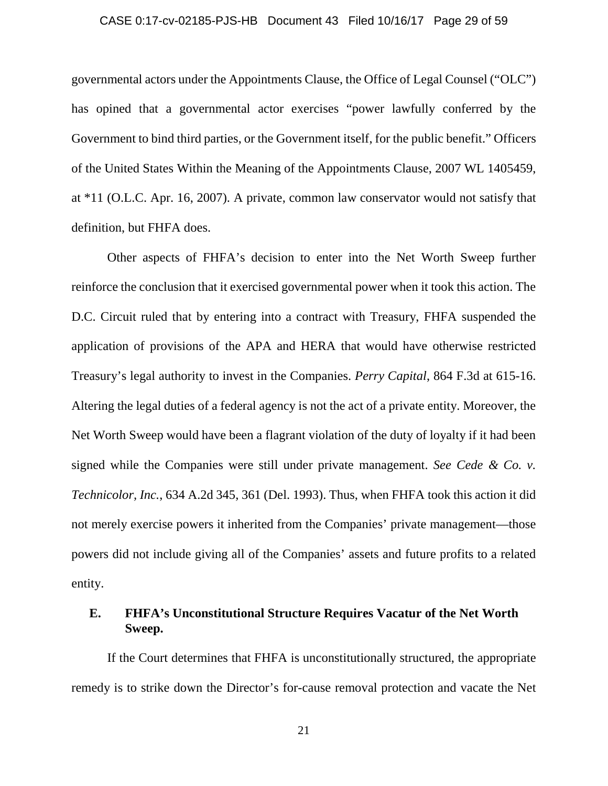#### CASE 0:17-cv-02185-PJS-HB Document 43 Filed 10/16/17 Page 29 of 59

governmental actors under the Appointments Clause, the Office of Legal Counsel ("OLC") has opined that a governmental actor exercises "power lawfully conferred by the Government to bind third parties, or the Government itself, for the public benefit." Officers of the United States Within the Meaning of the Appointments Clause, 2007 WL 1405459, at \*11 (O.L.C. Apr. 16, 2007). A private, common law conservator would not satisfy that definition, but FHFA does.

Other aspects of FHFA's decision to enter into the Net Worth Sweep further reinforce the conclusion that it exercised governmental power when it took this action. The D.C. Circuit ruled that by entering into a contract with Treasury, FHFA suspended the application of provisions of the APA and HERA that would have otherwise restricted Treasury's legal authority to invest in the Companies. *Perry Capital*, 864 F.3d at 615-16. Altering the legal duties of a federal agency is not the act of a private entity. Moreover, the Net Worth Sweep would have been a flagrant violation of the duty of loyalty if it had been signed while the Companies were still under private management. *See Cede & Co. v. Technicolor, Inc.*, 634 A.2d 345, 361 (Del. 1993). Thus, when FHFA took this action it did not merely exercise powers it inherited from the Companies' private management—those powers did not include giving all of the Companies' assets and future profits to a related entity.

# **E. FHFA's Unconstitutional Structure Requires Vacatur of the Net Worth Sweep.**

If the Court determines that FHFA is unconstitutionally structured, the appropriate remedy is to strike down the Director's for-cause removal protection and vacate the Net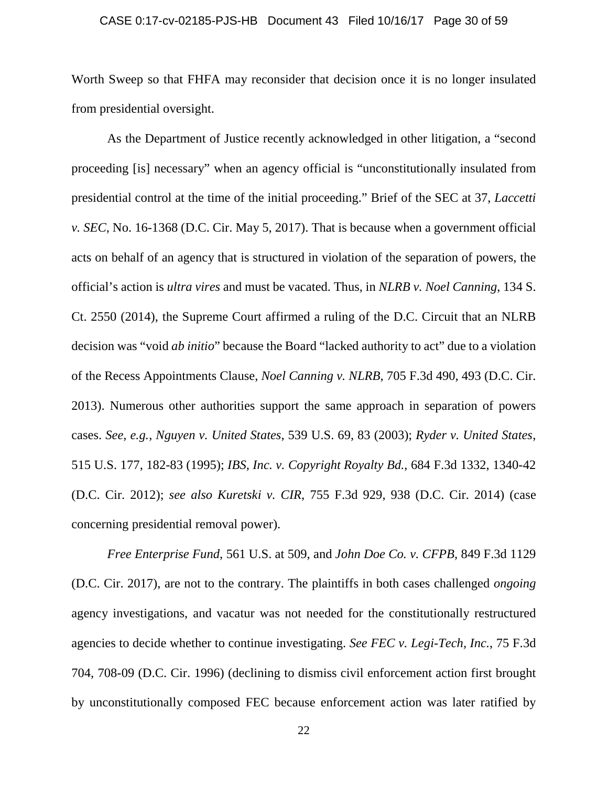#### CASE 0:17-cv-02185-PJS-HB Document 43 Filed 10/16/17 Page 30 of 59

Worth Sweep so that FHFA may reconsider that decision once it is no longer insulated from presidential oversight.

As the Department of Justice recently acknowledged in other litigation, a "second proceeding [is] necessary" when an agency official is "unconstitutionally insulated from presidential control at the time of the initial proceeding." Brief of the SEC at 37, *Laccetti v. SEC*, No. 16-1368 (D.C. Cir. May 5, 2017). That is because when a government official acts on behalf of an agency that is structured in violation of the separation of powers, the official's action is *ultra vires* and must be vacated. Thus, in *NLRB v. Noel Canning*, 134 S. Ct. 2550 (2014), the Supreme Court affirmed a ruling of the D.C. Circuit that an NLRB decision was "void *ab initio*" because the Board "lacked authority to act" due to a violation of the Recess Appointments Clause, *Noel Canning v. NLRB*, 705 F.3d 490, 493 (D.C. Cir. 2013). Numerous other authorities support the same approach in separation of powers cases. *See, e.g.*, *Nguyen v. United States*, 539 U.S. 69, 83 (2003); *Ryder v. United States*, 515 U.S. 177, 182-83 (1995); *IBS, Inc. v. Copyright Royalty Bd.*, 684 F.3d 1332, 1340-42 (D.C. Cir. 2012); *see also Kuretski v. CIR*, 755 F.3d 929, 938 (D.C. Cir. 2014) (case concerning presidential removal power).

*Free Enterprise Fund*, 561 U.S. at 509, and *John Doe Co. v. CFPB*, 849 F.3d 1129 (D.C. Cir. 2017), are not to the contrary. The plaintiffs in both cases challenged *ongoing*  agency investigations, and vacatur was not needed for the constitutionally restructured agencies to decide whether to continue investigating. *See FEC v. Legi-Tech, Inc.*, 75 F.3d 704, 708-09 (D.C. Cir. 1996) (declining to dismiss civil enforcement action first brought by unconstitutionally composed FEC because enforcement action was later ratified by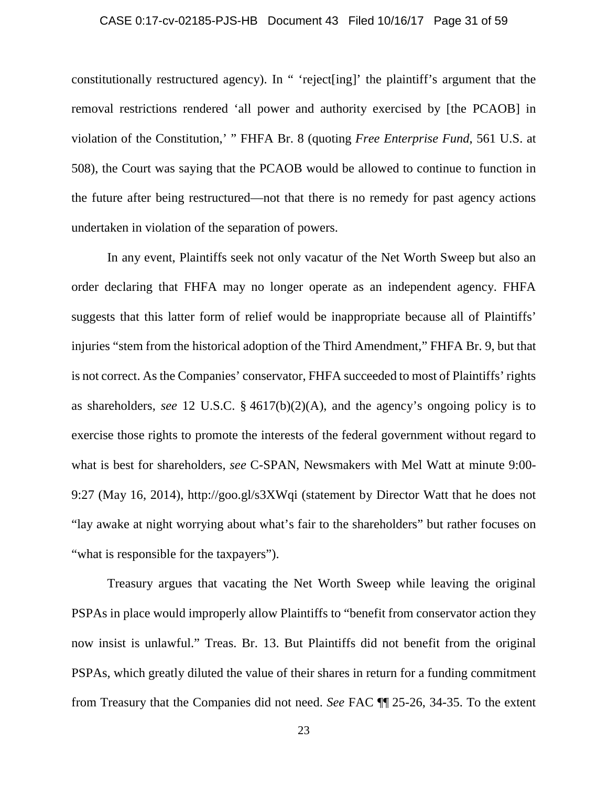#### CASE 0:17-cv-02185-PJS-HB Document 43 Filed 10/16/17 Page 31 of 59

constitutionally restructured agency). In " 'reject[ing]' the plaintiff's argument that the removal restrictions rendered 'all power and authority exercised by [the PCAOB] in violation of the Constitution,' " FHFA Br. 8 (quoting *Free Enterprise Fund*, 561 U.S. at 508), the Court was saying that the PCAOB would be allowed to continue to function in the future after being restructured—not that there is no remedy for past agency actions undertaken in violation of the separation of powers.

In any event, Plaintiffs seek not only vacatur of the Net Worth Sweep but also an order declaring that FHFA may no longer operate as an independent agency. FHFA suggests that this latter form of relief would be inappropriate because all of Plaintiffs' injuries "stem from the historical adoption of the Third Amendment," FHFA Br. 9, but that is not correct. As the Companies' conservator, FHFA succeeded to most of Plaintiffs' rights as shareholders, *see* 12 U.S.C. § 4617(b)(2)(A), and the agency's ongoing policy is to exercise those rights to promote the interests of the federal government without regard to what is best for shareholders, *see* C-SPAN, Newsmakers with Mel Watt at minute 9:00- 9:27 (May 16, 2014), http://goo.gl/s3XWqi (statement by Director Watt that he does not "lay awake at night worrying about what's fair to the shareholders" but rather focuses on "what is responsible for the taxpayers").

Treasury argues that vacating the Net Worth Sweep while leaving the original PSPAs in place would improperly allow Plaintiffs to "benefit from conservator action they now insist is unlawful." Treas. Br. 13. But Plaintiffs did not benefit from the original PSPAs, which greatly diluted the value of their shares in return for a funding commitment from Treasury that the Companies did not need. *See* FAC ¶¶ 25-26, 34-35. To the extent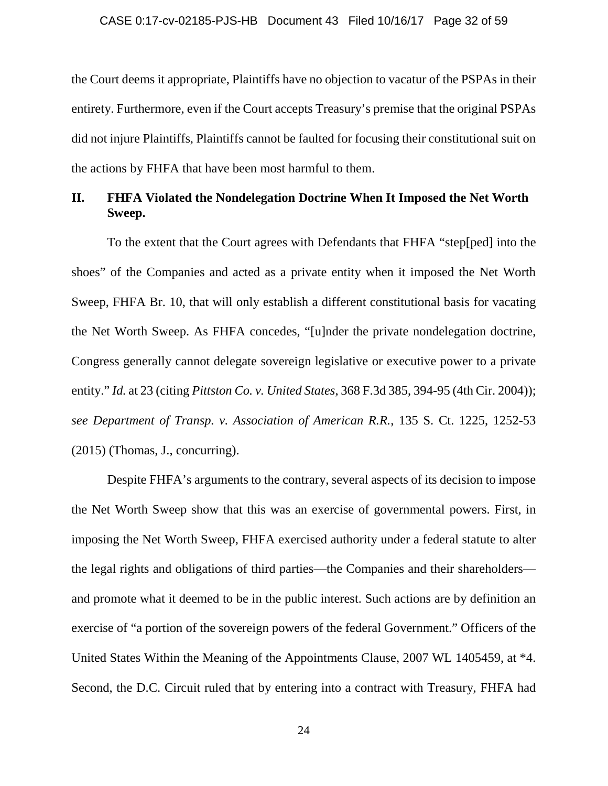the Court deems it appropriate, Plaintiffs have no objection to vacatur of the PSPAs in their entirety. Furthermore, even if the Court accepts Treasury's premise that the original PSPAs did not injure Plaintiffs, Plaintiffs cannot be faulted for focusing their constitutional suit on the actions by FHFA that have been most harmful to them.

# **II. FHFA Violated the Nondelegation Doctrine When It Imposed the Net Worth Sweep.**

To the extent that the Court agrees with Defendants that FHFA "step[ped] into the shoes" of the Companies and acted as a private entity when it imposed the Net Worth Sweep, FHFA Br. 10, that will only establish a different constitutional basis for vacating the Net Worth Sweep. As FHFA concedes, "[u]nder the private nondelegation doctrine, Congress generally cannot delegate sovereign legislative or executive power to a private entity." *Id.* at 23 (citing *Pittston Co. v. United States*, 368 F.3d 385, 394-95 (4th Cir. 2004)); *see Department of Transp. v. Association of American R.R.*, 135 S. Ct. 1225, 1252-53 (2015) (Thomas, J., concurring).

Despite FHFA's arguments to the contrary, several aspects of its decision to impose the Net Worth Sweep show that this was an exercise of governmental powers. First, in imposing the Net Worth Sweep, FHFA exercised authority under a federal statute to alter the legal rights and obligations of third parties—the Companies and their shareholders and promote what it deemed to be in the public interest. Such actions are by definition an exercise of "a portion of the sovereign powers of the federal Government." Officers of the United States Within the Meaning of the Appointments Clause, 2007 WL 1405459, at \*4. Second, the D.C. Circuit ruled that by entering into a contract with Treasury, FHFA had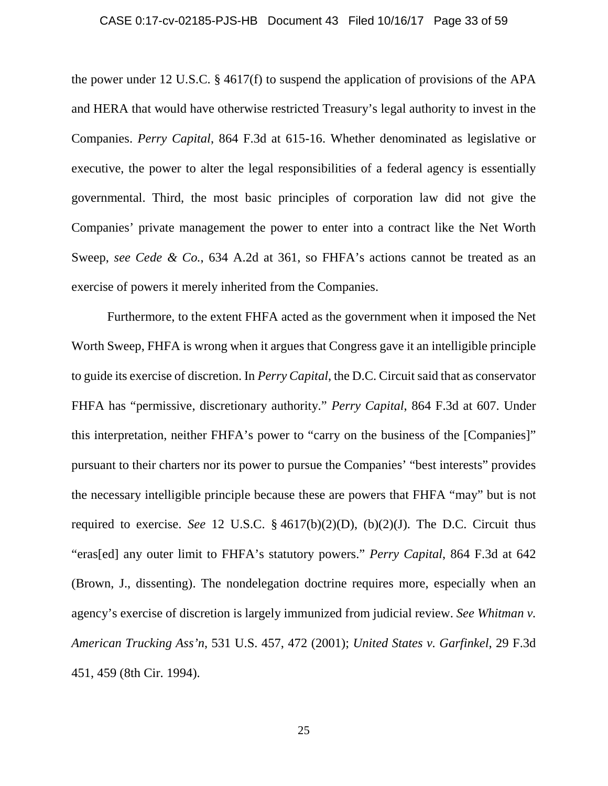#### CASE 0:17-cv-02185-PJS-HB Document 43 Filed 10/16/17 Page 33 of 59

the power under 12 U.S.C. § 4617(f) to suspend the application of provisions of the APA and HERA that would have otherwise restricted Treasury's legal authority to invest in the Companies. *Perry Capital*, 864 F.3d at 615-16. Whether denominated as legislative or executive, the power to alter the legal responsibilities of a federal agency is essentially governmental. Third, the most basic principles of corporation law did not give the Companies' private management the power to enter into a contract like the Net Worth Sweep, *see Cede & Co.*, 634 A.2d at 361, so FHFA's actions cannot be treated as an exercise of powers it merely inherited from the Companies.

Furthermore, to the extent FHFA acted as the government when it imposed the Net Worth Sweep, FHFA is wrong when it argues that Congress gave it an intelligible principle to guide its exercise of discretion. In *Perry Capital*, the D.C. Circuit said that as conservator FHFA has "permissive, discretionary authority." *Perry Capital*, 864 F.3d at 607. Under this interpretation, neither FHFA's power to "carry on the business of the [Companies]" pursuant to their charters nor its power to pursue the Companies' "best interests" provides the necessary intelligible principle because these are powers that FHFA "may" but is not required to exercise. *See* 12 U.S.C.  $\S$  4617(b)(2)(D), (b)(2)(J). The D.C. Circuit thus "eras[ed] any outer limit to FHFA's statutory powers." *Perry Capital*, 864 F.3d at 642 (Brown, J., dissenting). The nondelegation doctrine requires more, especially when an agency's exercise of discretion is largely immunized from judicial review. *See Whitman v. American Trucking Ass'n*, 531 U.S. 457, 472 (2001); *United States v. Garfinkel*, 29 F.3d 451, 459 (8th Cir. 1994).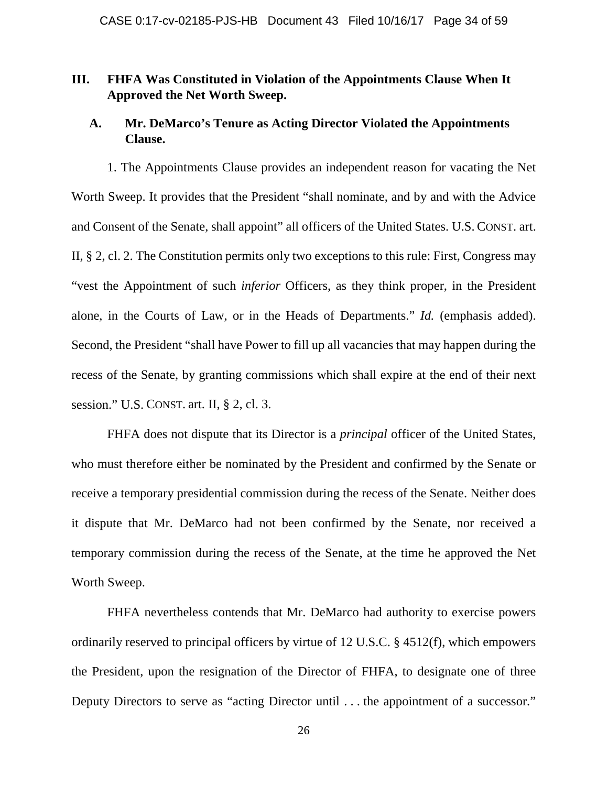# **III. FHFA Was Constituted in Violation of the Appointments Clause When It Approved the Net Worth Sweep.**

# **A. Mr. DeMarco's Tenure as Acting Director Violated the Appointments Clause.**

1. The Appointments Clause provides an independent reason for vacating the Net Worth Sweep. It provides that the President "shall nominate, and by and with the Advice and Consent of the Senate, shall appoint" all officers of the United States. U.S. CONST. art. II, § 2, cl. 2. The Constitution permits only two exceptions to this rule: First, Congress may "vest the Appointment of such *inferior* Officers, as they think proper, in the President alone, in the Courts of Law, or in the Heads of Departments." *Id.* (emphasis added). Second, the President "shall have Power to fill up all vacancies that may happen during the recess of the Senate, by granting commissions which shall expire at the end of their next session." U.S. CONST. art. II, § 2, cl. 3.

FHFA does not dispute that its Director is a *principal* officer of the United States, who must therefore either be nominated by the President and confirmed by the Senate or receive a temporary presidential commission during the recess of the Senate. Neither does it dispute that Mr. DeMarco had not been confirmed by the Senate, nor received a temporary commission during the recess of the Senate, at the time he approved the Net Worth Sweep.

FHFA nevertheless contends that Mr. DeMarco had authority to exercise powers ordinarily reserved to principal officers by virtue of 12 U.S.C. § 4512(f), which empowers the President, upon the resignation of the Director of FHFA, to designate one of three Deputy Directors to serve as "acting Director until . . . the appointment of a successor."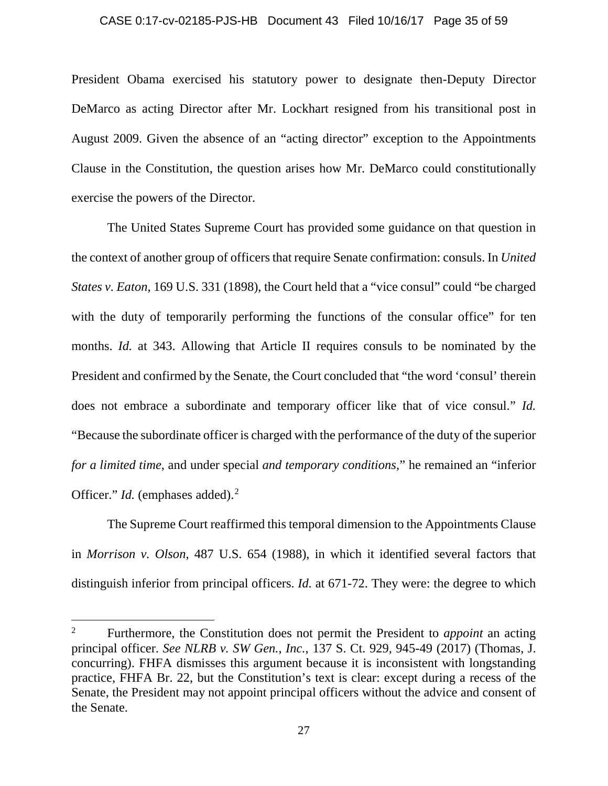#### CASE 0:17-cv-02185-PJS-HB Document 43 Filed 10/16/17 Page 35 of 59

President Obama exercised his statutory power to designate then-Deputy Director DeMarco as acting Director after Mr. Lockhart resigned from his transitional post in August 2009. Given the absence of an "acting director" exception to the Appointments Clause in the Constitution, the question arises how Mr. DeMarco could constitutionally exercise the powers of the Director.

The United States Supreme Court has provided some guidance on that question in the context of another group of officers that require Senate confirmation: consuls. In *United States v. Eaton*, 169 U.S. 331 (1898), the Court held that a "vice consul" could "be charged with the duty of temporarily performing the functions of the consular office" for ten months. *Id.* at 343. Allowing that Article II requires consuls to be nominated by the President and confirmed by the Senate, the Court concluded that "the word 'consul' therein does not embrace a subordinate and temporary officer like that of vice consul." *Id.* "Because the subordinate officer is charged with the performance of the duty of the superior *for a limited time*, and under special *and temporary conditions*," he remained an "inferior Officer." *Id.* (emphases added).<sup>[2](#page-34-0)</sup>

The Supreme Court reaffirmed this temporal dimension to the Appointments Clause in *Morrison v. Olson*, 487 U.S. 654 (1988), in which it identified several factors that distinguish inferior from principal officers. *Id.* at 671-72. They were: the degree to which

l

<span id="page-34-0"></span><sup>2</sup> Furthermore, the Constitution does not permit the President to *appoint* an acting principal officer. *See NLRB v. SW Gen., Inc.*, 137 S. Ct. 929, 945-49 (2017) (Thomas, J. concurring). FHFA dismisses this argument because it is inconsistent with longstanding practice, FHFA Br. 22, but the Constitution's text is clear: except during a recess of the Senate, the President may not appoint principal officers without the advice and consent of the Senate.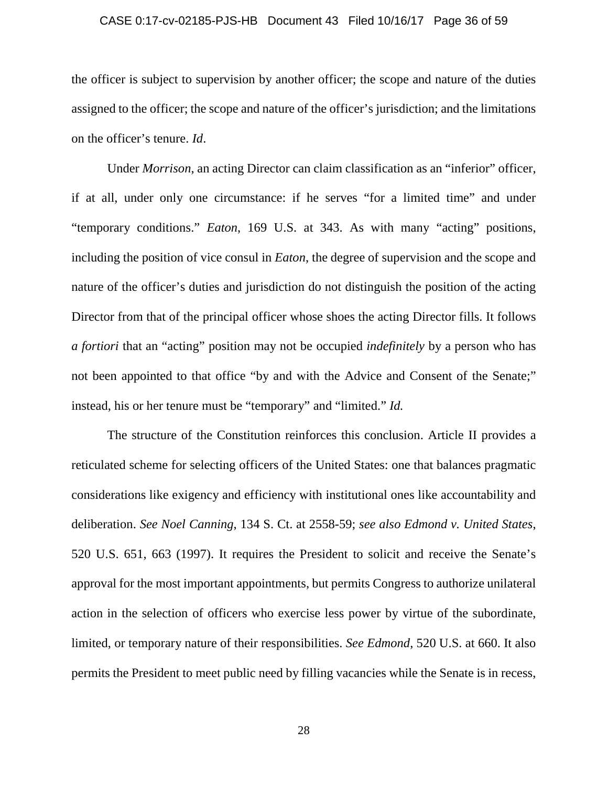#### CASE 0:17-cv-02185-PJS-HB Document 43 Filed 10/16/17 Page 36 of 59

the officer is subject to supervision by another officer; the scope and nature of the duties assigned to the officer; the scope and nature of the officer's jurisdiction; and the limitations on the officer's tenure. *Id*.

Under *Morrison*, an acting Director can claim classification as an "inferior" officer, if at all, under only one circumstance: if he serves "for a limited time" and under "temporary conditions." *Eaton*, 169 U.S. at 343. As with many "acting" positions, including the position of vice consul in *Eaton*, the degree of supervision and the scope and nature of the officer's duties and jurisdiction do not distinguish the position of the acting Director from that of the principal officer whose shoes the acting Director fills. It follows *a fortiori* that an "acting" position may not be occupied *indefinitely* by a person who has not been appointed to that office "by and with the Advice and Consent of the Senate;" instead, his or her tenure must be "temporary" and "limited." *Id.*

The structure of the Constitution reinforces this conclusion. Article II provides a reticulated scheme for selecting officers of the United States: one that balances pragmatic considerations like exigency and efficiency with institutional ones like accountability and deliberation. *See Noel Canning*, 134 S. Ct. at 2558-59; *see also Edmond v. United States*, 520 U.S. 651, 663 (1997). It requires the President to solicit and receive the Senate's approval for the most important appointments, but permits Congress to authorize unilateral action in the selection of officers who exercise less power by virtue of the subordinate, limited, or temporary nature of their responsibilities. *See Edmond*, 520 U.S. at 660. It also permits the President to meet public need by filling vacancies while the Senate is in recess,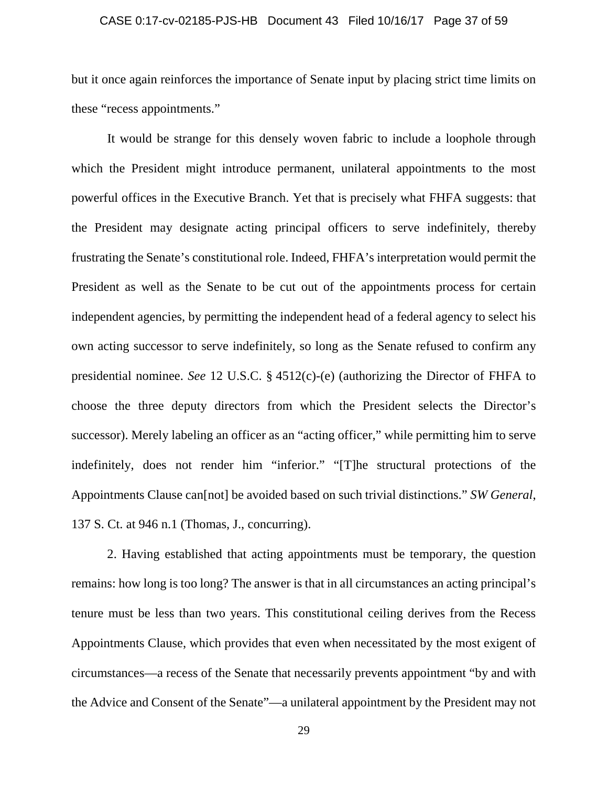#### CASE 0:17-cv-02185-PJS-HB Document 43 Filed 10/16/17 Page 37 of 59

but it once again reinforces the importance of Senate input by placing strict time limits on these "recess appointments."

It would be strange for this densely woven fabric to include a loophole through which the President might introduce permanent, unilateral appointments to the most powerful offices in the Executive Branch. Yet that is precisely what FHFA suggests: that the President may designate acting principal officers to serve indefinitely, thereby frustrating the Senate's constitutional role. Indeed, FHFA's interpretation would permit the President as well as the Senate to be cut out of the appointments process for certain independent agencies, by permitting the independent head of a federal agency to select his own acting successor to serve indefinitely, so long as the Senate refused to confirm any presidential nominee. *See* 12 U.S.C. § 4512(c)-(e) (authorizing the Director of FHFA to choose the three deputy directors from which the President selects the Director's successor). Merely labeling an officer as an "acting officer," while permitting him to serve indefinitely, does not render him "inferior." "[T]he structural protections of the Appointments Clause can[not] be avoided based on such trivial distinctions." *SW General*, 137 S. Ct. at 946 n.1 (Thomas, J., concurring).

2. Having established that acting appointments must be temporary, the question remains: how long is too long? The answer is that in all circumstances an acting principal's tenure must be less than two years. This constitutional ceiling derives from the Recess Appointments Clause, which provides that even when necessitated by the most exigent of circumstances—a recess of the Senate that necessarily prevents appointment "by and with the Advice and Consent of the Senate"—a unilateral appointment by the President may not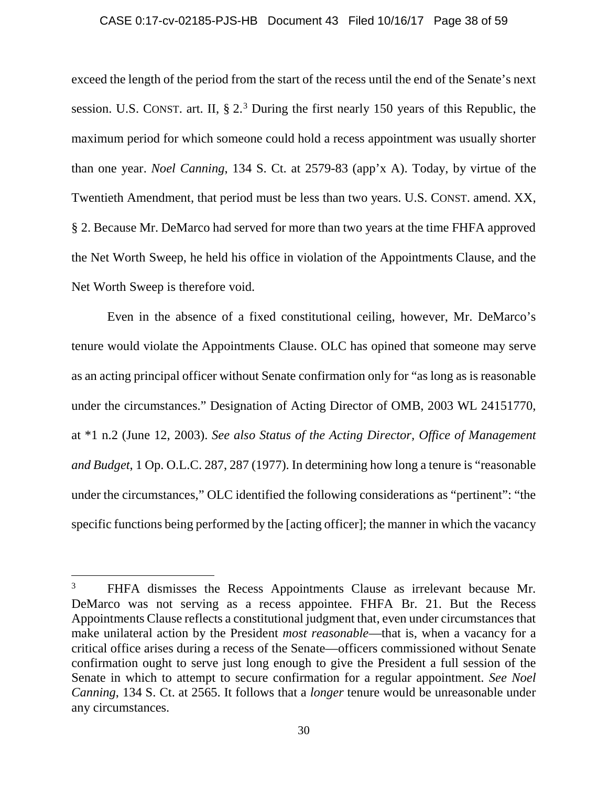#### CASE 0:17-cv-02185-PJS-HB Document 43 Filed 10/16/17 Page 38 of 59

exceed the length of the period from the start of the recess until the end of the Senate's next session. U.S. CONST. art. II,  $\S 2<sup>3</sup>$  $\S 2<sup>3</sup>$  $\S 2<sup>3</sup>$  During the first nearly 150 years of this Republic, the maximum period for which someone could hold a recess appointment was usually shorter than one year. *Noel Canning*, 134 S. Ct. at 2579-83 (app'x A). Today, by virtue of the Twentieth Amendment, that period must be less than two years. U.S. CONST. amend. XX, § 2. Because Mr. DeMarco had served for more than two years at the time FHFA approved the Net Worth Sweep, he held his office in violation of the Appointments Clause, and the Net Worth Sweep is therefore void.

Even in the absence of a fixed constitutional ceiling, however, Mr. DeMarco's tenure would violate the Appointments Clause. OLC has opined that someone may serve as an acting principal officer without Senate confirmation only for "as long as is reasonable under the circumstances." Designation of Acting Director of OMB, 2003 WL 24151770, at \*1 n.2 (June 12, 2003). *See also Status of the Acting Director, Office of Management and Budget*, 1 Op. O.L.C. 287, 287 (1977). In determining how long a tenure is "reasonable under the circumstances," OLC identified the following considerations as "pertinent": "the specific functions being performed by the [acting officer]; the manner in which the vacancy

l

<span id="page-37-0"></span><sup>&</sup>lt;sup>3</sup> FHFA dismisses the Recess Appointments Clause as irrelevant because Mr. DeMarco was not serving as a recess appointee. FHFA Br. 21. But the Recess Appointments Clause reflects a constitutional judgment that, even under circumstances that make unilateral action by the President *most reasonable*—that is, when a vacancy for a critical office arises during a recess of the Senate—officers commissioned without Senate confirmation ought to serve just long enough to give the President a full session of the Senate in which to attempt to secure confirmation for a regular appointment. *See Noel Canning*, 134 S. Ct. at 2565. It follows that a *longer* tenure would be unreasonable under any circumstances.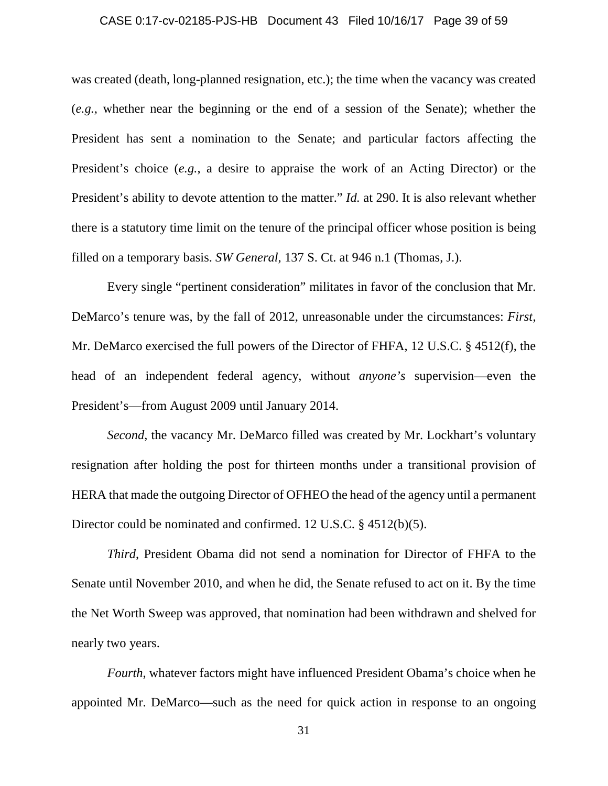#### CASE 0:17-cv-02185-PJS-HB Document 43 Filed 10/16/17 Page 39 of 59

was created (death, long-planned resignation, etc.); the time when the vacancy was created (*e.g.*, whether near the beginning or the end of a session of the Senate); whether the President has sent a nomination to the Senate; and particular factors affecting the President's choice (*e.g.*, a desire to appraise the work of an Acting Director) or the President's ability to devote attention to the matter." *Id.* at 290. It is also relevant whether there is a statutory time limit on the tenure of the principal officer whose position is being filled on a temporary basis. *SW General*, 137 S. Ct. at 946 n.1 (Thomas, J.).

Every single "pertinent consideration" militates in favor of the conclusion that Mr. DeMarco's tenure was, by the fall of 2012, unreasonable under the circumstances: *First*, Mr. DeMarco exercised the full powers of the Director of FHFA, 12 U.S.C. § 4512(f), the head of an independent federal agency, without *anyone's* supervision—even the President's—from August 2009 until January 2014.

*Second*, the vacancy Mr. DeMarco filled was created by Mr. Lockhart's voluntary resignation after holding the post for thirteen months under a transitional provision of HERA that made the outgoing Director of OFHEO the head of the agency until a permanent Director could be nominated and confirmed. 12 U.S.C. § 4512(b)(5).

*Third*, President Obama did not send a nomination for Director of FHFA to the Senate until November 2010, and when he did, the Senate refused to act on it. By the time the Net Worth Sweep was approved, that nomination had been withdrawn and shelved for nearly two years.

*Fourth*, whatever factors might have influenced President Obama's choice when he appointed Mr. DeMarco—such as the need for quick action in response to an ongoing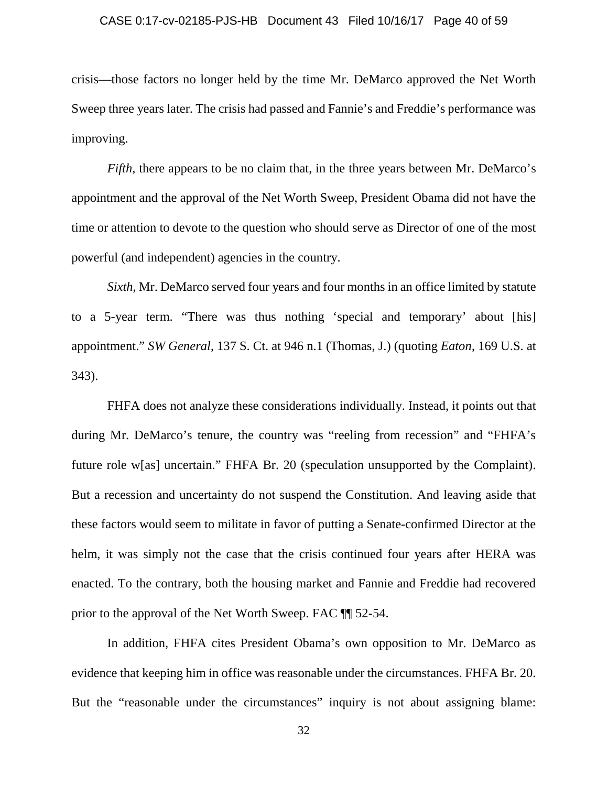#### CASE 0:17-cv-02185-PJS-HB Document 43 Filed 10/16/17 Page 40 of 59

crisis—those factors no longer held by the time Mr. DeMarco approved the Net Worth Sweep three years later. The crisis had passed and Fannie's and Freddie's performance was improving.

*Fifth*, there appears to be no claim that, in the three years between Mr. DeMarco's appointment and the approval of the Net Worth Sweep, President Obama did not have the time or attention to devote to the question who should serve as Director of one of the most powerful (and independent) agencies in the country.

*Sixth*, Mr. DeMarco served four years and four months in an office limited by statute to a 5-year term. "There was thus nothing 'special and temporary' about [his] appointment." *SW General*, 137 S. Ct. at 946 n.1 (Thomas, J.) (quoting *Eaton*, 169 U.S. at 343).

FHFA does not analyze these considerations individually. Instead, it points out that during Mr. DeMarco's tenure, the country was "reeling from recession" and "FHFA's future role w[as] uncertain." FHFA Br. 20 (speculation unsupported by the Complaint). But a recession and uncertainty do not suspend the Constitution. And leaving aside that these factors would seem to militate in favor of putting a Senate-confirmed Director at the helm, it was simply not the case that the crisis continued four years after HERA was enacted. To the contrary, both the housing market and Fannie and Freddie had recovered prior to the approval of the Net Worth Sweep. FAC ¶¶ 52-54.

In addition, FHFA cites President Obama's own opposition to Mr. DeMarco as evidence that keeping him in office was reasonable under the circumstances. FHFA Br. 20. But the "reasonable under the circumstances" inquiry is not about assigning blame: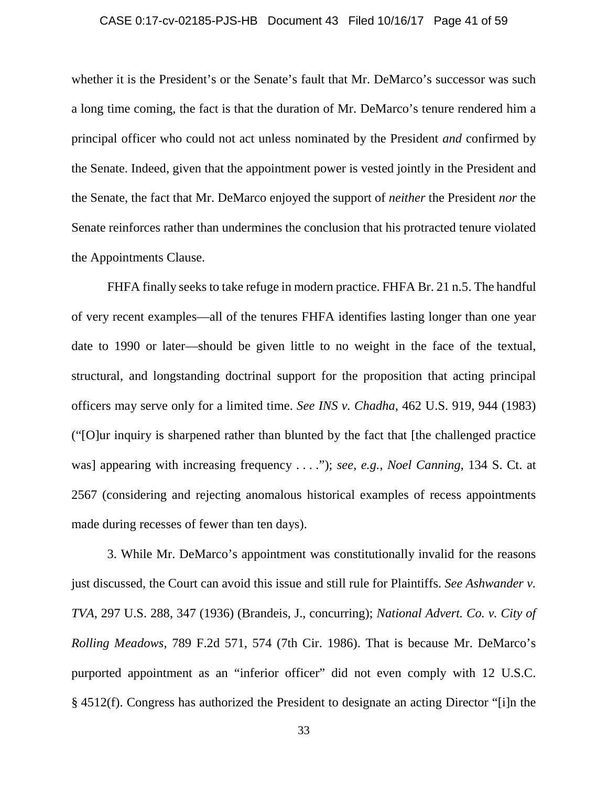#### CASE 0:17-cv-02185-PJS-HB Document 43 Filed 10/16/17 Page 41 of 59

whether it is the President's or the Senate's fault that Mr. DeMarco's successor was such a long time coming, the fact is that the duration of Mr. DeMarco's tenure rendered him a principal officer who could not act unless nominated by the President *and* confirmed by the Senate. Indeed, given that the appointment power is vested jointly in the President and the Senate, the fact that Mr. DeMarco enjoyed the support of *neither* the President *nor* the Senate reinforces rather than undermines the conclusion that his protracted tenure violated the Appointments Clause.

FHFA finally seeks to take refuge in modern practice. FHFA Br. 21 n.5. The handful of very recent examples—all of the tenures FHFA identifies lasting longer than one year date to 1990 or later—should be given little to no weight in the face of the textual, structural, and longstanding doctrinal support for the proposition that acting principal officers may serve only for a limited time. *See INS v. Chadha*, 462 U.S. 919, 944 (1983) ("[O]ur inquiry is sharpened rather than blunted by the fact that [the challenged practice was] appearing with increasing frequency . . . ."); *see, e.g.*, *Noel Canning*, 134 S. Ct. at 2567 (considering and rejecting anomalous historical examples of recess appointments made during recesses of fewer than ten days).

3. While Mr. DeMarco's appointment was constitutionally invalid for the reasons just discussed, the Court can avoid this issue and still rule for Plaintiffs. *See Ashwander v. TVA*, 297 U.S. 288, 347 (1936) (Brandeis, J., concurring); *National Advert. Co. v. City of Rolling Meadows*, 789 F.2d 571, 574 (7th Cir. 1986). That is because Mr. DeMarco's purported appointment as an "inferior officer" did not even comply with 12 U.S.C. § 4512(f). Congress has authorized the President to designate an acting Director "[i]n the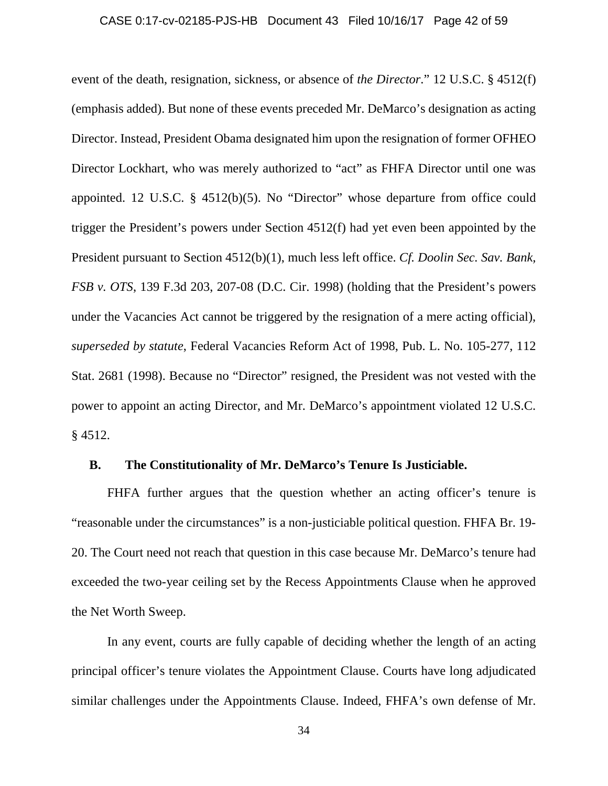#### CASE 0:17-cv-02185-PJS-HB Document 43 Filed 10/16/17 Page 42 of 59

event of the death, resignation, sickness, or absence of *the Director*." 12 U.S.C. § 4512(f) (emphasis added). But none of these events preceded Mr. DeMarco's designation as acting Director. Instead, President Obama designated him upon the resignation of former OFHEO Director Lockhart, who was merely authorized to "act" as FHFA Director until one was appointed. 12 U.S.C. § 4512(b)(5). No "Director" whose departure from office could trigger the President's powers under Section 4512(f) had yet even been appointed by the President pursuant to Section 4512(b)(1), much less left office. *Cf. Doolin Sec. Sav. Bank, FSB v. OTS*, 139 F.3d 203, 207-08 (D.C. Cir. 1998) (holding that the President's powers under the Vacancies Act cannot be triggered by the resignation of a mere acting official), *superseded by statute*, Federal Vacancies Reform Act of 1998, Pub. L. No. 105-277, 112 Stat. 2681 (1998). Because no "Director" resigned, the President was not vested with the power to appoint an acting Director, and Mr. DeMarco's appointment violated 12 U.S.C. § 4512.

### **B. The Constitutionality of Mr. DeMarco's Tenure Is Justiciable.**

FHFA further argues that the question whether an acting officer's tenure is "reasonable under the circumstances" is a non-justiciable political question. FHFA Br. 19- 20. The Court need not reach that question in this case because Mr. DeMarco's tenure had exceeded the two-year ceiling set by the Recess Appointments Clause when he approved the Net Worth Sweep.

In any event, courts are fully capable of deciding whether the length of an acting principal officer's tenure violates the Appointment Clause. Courts have long adjudicated similar challenges under the Appointments Clause. Indeed, FHFA's own defense of Mr.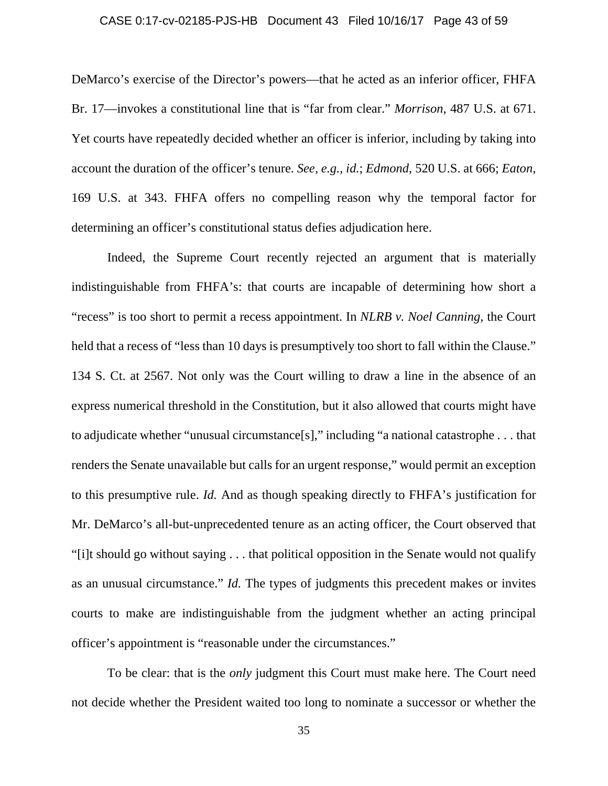#### CASE 0:17-cv-02185-PJS-HB Document 43 Filed 10/16/17 Page 43 of 59

DeMarco's exercise of the Director's powers—that he acted as an inferior officer, FHFA Br. 17—invokes a constitutional line that is "far from clear." *Morrison*, 487 U.S. at 671. Yet courts have repeatedly decided whether an officer is inferior, including by taking into account the duration of the officer's tenure. *See, e.g.*, *id.*; *Edmond*, 520 U.S. at 666; *Eaton*, 169 U.S. at 343. FHFA offers no compelling reason why the temporal factor for determining an officer's constitutional status defies adjudication here.

Indeed, the Supreme Court recently rejected an argument that is materially indistinguishable from FHFA's: that courts are incapable of determining how short a "recess" is too short to permit a recess appointment. In *NLRB v. Noel Canning*, the Court held that a recess of "less than 10 days is presumptively too short to fall within the Clause." 134 S. Ct. at 2567. Not only was the Court willing to draw a line in the absence of an express numerical threshold in the Constitution, but it also allowed that courts might have to adjudicate whether "unusual circumstance[s]," including "a national catastrophe . . . that renders the Senate unavailable but calls for an urgent response," would permit an exception to this presumptive rule. *Id.* And as though speaking directly to FHFA's justification for Mr. DeMarco's all-but-unprecedented tenure as an acting officer, the Court observed that "[i]t should go without saying . . . that political opposition in the Senate would not qualify as an unusual circumstance." *Id.* The types of judgments this precedent makes or invites courts to make are indistinguishable from the judgment whether an acting principal officer's appointment is "reasonable under the circumstances."

To be clear: that is the *only* judgment this Court must make here. The Court need not decide whether the President waited too long to nominate a successor or whether the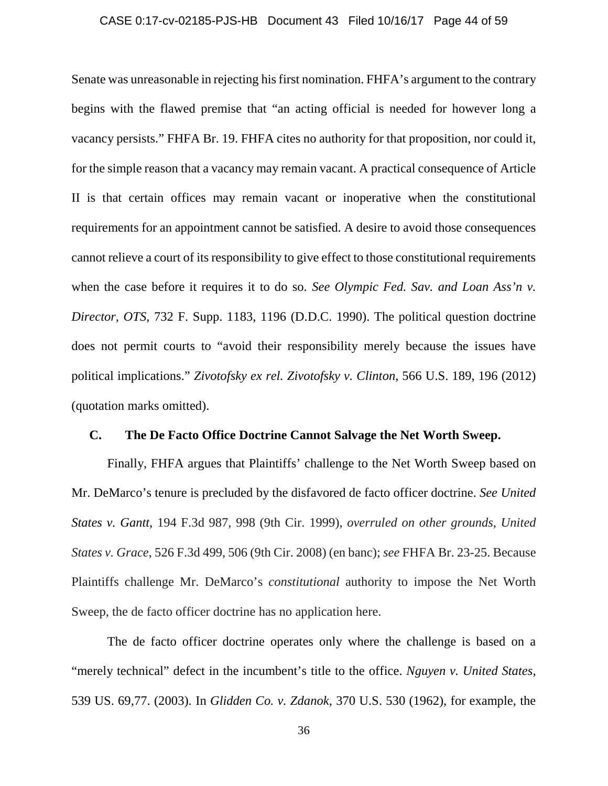#### CASE 0:17-cv-02185-PJS-HB Document 43 Filed 10/16/17 Page 44 of 59

Senate was unreasonable in rejecting his first nomination. FHFA's argument to the contrary begins with the flawed premise that "an acting official is needed for however long a vacancy persists." FHFA Br. 19. FHFA cites no authority for that proposition, nor could it, for the simple reason that a vacancy may remain vacant. A practical consequence of Article II is that certain offices may remain vacant or inoperative when the constitutional requirements for an appointment cannot be satisfied. A desire to avoid those consequences cannot relieve a court of its responsibility to give effect to those constitutional requirements when the case before it requires it to do so. *See Olympic Fed. Sav. and Loan Ass'n v. Director, OTS*, 732 F. Supp. 1183, 1196 (D.D.C. 1990). The political question doctrine does not permit courts to "avoid their responsibility merely because the issues have political implications." *Zivotofsky ex rel. Zivotofsky v. Clinton*, 566 U.S. 189, 196 (2012) (quotation marks omitted).

### **C. The De Facto Office Doctrine Cannot Salvage the Net Worth Sweep.**

Finally, FHFA argues that Plaintiffs' challenge to the Net Worth Sweep based on Mr. DeMarco's tenure is precluded by the disfavored de facto officer doctrine. *See United States v. Gantt*, 194 F.3d 987, 998 (9th Cir. 1999), *overruled on other grounds*, *United States v. Grace*, 526 F.3d 499, 506 (9th Cir. 2008) (en banc); *see* FHFA Br. 23-25. Because Plaintiffs challenge Mr. DeMarco's *constitutional* authority to impose the Net Worth Sweep, the de facto officer doctrine has no application here.

The de facto officer doctrine operates only where the challenge is based on a "merely technical" defect in the incumbent's title to the office. *Nguyen v. United States*, 539 US. 69,77. (2003). In *Glidden Co. v. Zdanok*, 370 U.S. 530 (1962), for example, the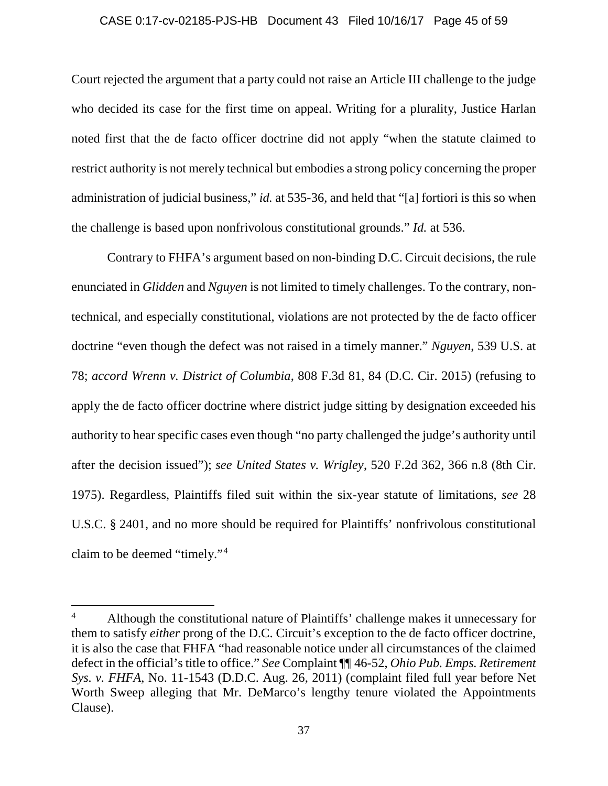#### CASE 0:17-cv-02185-PJS-HB Document 43 Filed 10/16/17 Page 45 of 59

Court rejected the argument that a party could not raise an Article III challenge to the judge who decided its case for the first time on appeal. Writing for a plurality, Justice Harlan noted first that the de facto officer doctrine did not apply "when the statute claimed to restrict authority is not merely technical but embodies a strong policy concerning the proper administration of judicial business," *id.* at 535-36, and held that "[a] fortiori is this so when the challenge is based upon nonfrivolous constitutional grounds." *Id.* at 536.

Contrary to FHFA's argument based on non-binding D.C. Circuit decisions, the rule enunciated in *Glidden* and *Nguyen* is not limited to timely challenges. To the contrary, nontechnical, and especially constitutional, violations are not protected by the de facto officer doctrine "even though the defect was not raised in a timely manner." *Nguyen*, 539 U.S. at 78; *accord Wrenn v. District of Columbia*, 808 F.3d 81, 84 (D.C. Cir. 2015) (refusing to apply the de facto officer doctrine where district judge sitting by designation exceeded his authority to hear specific cases even though "no party challenged the judge's authority until after the decision issued"); *see United States v. Wrigley*, 520 F.2d 362, 366 n.8 (8th Cir. 1975). Regardless, Plaintiffs filed suit within the six-year statute of limitations, *see* 28 U.S.C. § 2401, and no more should be required for Plaintiffs' nonfrivolous constitutional claim to be deemed "timely."[4](#page-44-0)

l

<span id="page-44-0"></span><sup>&</sup>lt;sup>4</sup> Although the constitutional nature of Plaintiffs' challenge makes it unnecessary for them to satisfy *either* prong of the D.C. Circuit's exception to the de facto officer doctrine, it is also the case that FHFA "had reasonable notice under all circumstances of the claimed defect in the official's title to office." *See* Complaint ¶¶ 46-52, *Ohio Pub. Emps. Retirement Sys. v. FHFA*, No. 11-1543 (D.D.C. Aug. 26, 2011) (complaint filed full year before Net Worth Sweep alleging that Mr. DeMarco's lengthy tenure violated the Appointments Clause).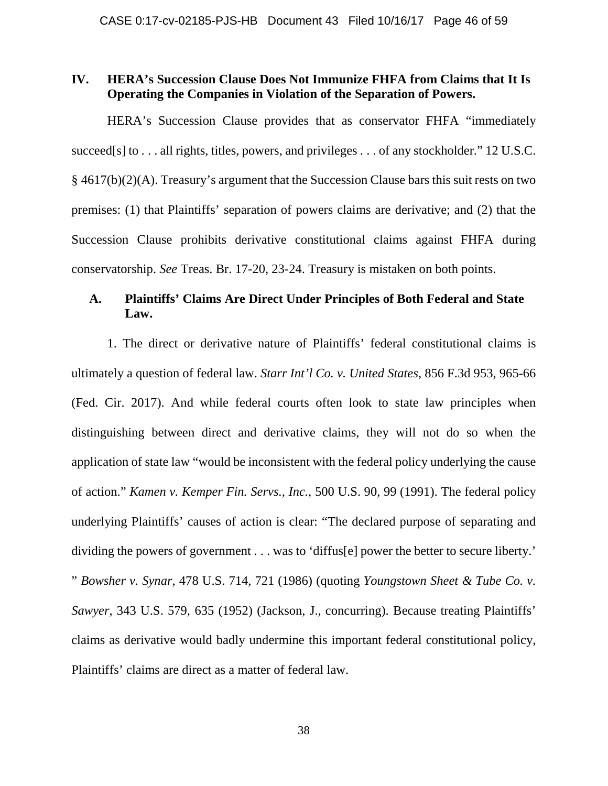### **IV. HERA's Succession Clause Does Not Immunize FHFA from Claims that It Is Operating the Companies in Violation of the Separation of Powers.**

HERA's Succession Clause provides that as conservator FHFA "immediately succeed[s] to . . . all rights, titles, powers, and privileges . . . of any stockholder." 12 U.S.C. § 4617(b)(2)(A). Treasury's argument that the Succession Clause bars this suit rests on two premises: (1) that Plaintiffs' separation of powers claims are derivative; and (2) that the Succession Clause prohibits derivative constitutional claims against FHFA during conservatorship. *See* Treas. Br. 17-20, 23-24. Treasury is mistaken on both points.

# **A. Plaintiffs' Claims Are Direct Under Principles of Both Federal and State Law.**

1. The direct or derivative nature of Plaintiffs' federal constitutional claims is ultimately a question of federal law. *Starr Int'l Co. v. United States*, 856 F.3d 953, 965-66 (Fed. Cir. 2017). And while federal courts often look to state law principles when distinguishing between direct and derivative claims, they will not do so when the application of state law "would be inconsistent with the federal policy underlying the cause of action." *Kamen v. Kemper Fin. Servs., Inc.*, 500 U.S. 90, 99 (1991). The federal policy underlying Plaintiffs' causes of action is clear: "The declared purpose of separating and dividing the powers of government . . . was to 'diffus[e] power the better to secure liberty.' " *Bowsher v. Synar*, 478 U.S. 714, 721 (1986) (quoting *Youngstown Sheet & Tube Co. v. Sawyer*, 343 U.S. 579, 635 (1952) (Jackson, J., concurring). Because treating Plaintiffs' claims as derivative would badly undermine this important federal constitutional policy, Plaintiffs' claims are direct as a matter of federal law.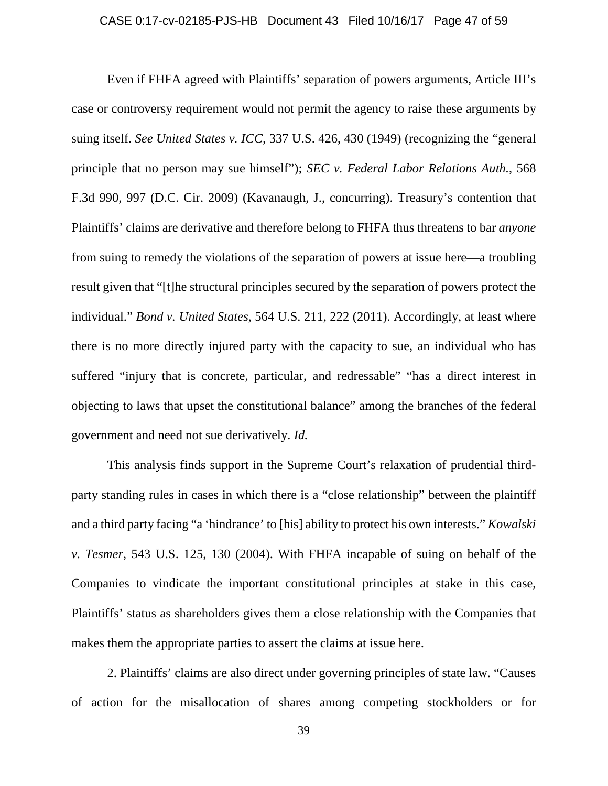#### CASE 0:17-cv-02185-PJS-HB Document 43 Filed 10/16/17 Page 47 of 59

Even if FHFA agreed with Plaintiffs' separation of powers arguments, Article III's case or controversy requirement would not permit the agency to raise these arguments by suing itself. *See United States v. ICC*, 337 U.S. 426, 430 (1949) (recognizing the "general principle that no person may sue himself"); *SEC v. Federal Labor Relations Auth.*, 568 F.3d 990, 997 (D.C. Cir. 2009) (Kavanaugh, J., concurring). Treasury's contention that Plaintiffs' claims are derivative and therefore belong to FHFA thus threatens to bar *anyone*  from suing to remedy the violations of the separation of powers at issue here—a troubling result given that "[t]he structural principles secured by the separation of powers protect the individual." *Bond v. United States*, 564 U.S. 211, 222 (2011). Accordingly, at least where there is no more directly injured party with the capacity to sue, an individual who has suffered "injury that is concrete, particular, and redressable" "has a direct interest in objecting to laws that upset the constitutional balance" among the branches of the federal government and need not sue derivatively. *Id.*

This analysis finds support in the Supreme Court's relaxation of prudential thirdparty standing rules in cases in which there is a "close relationship" between the plaintiff and a third party facing "a 'hindrance' to [his] ability to protect his own interests." *Kowalski v. Tesmer*, 543 U.S. 125, 130 (2004). With FHFA incapable of suing on behalf of the Companies to vindicate the important constitutional principles at stake in this case, Plaintiffs' status as shareholders gives them a close relationship with the Companies that makes them the appropriate parties to assert the claims at issue here.

2. Plaintiffs' claims are also direct under governing principles of state law. "Causes of action for the misallocation of shares among competing stockholders or for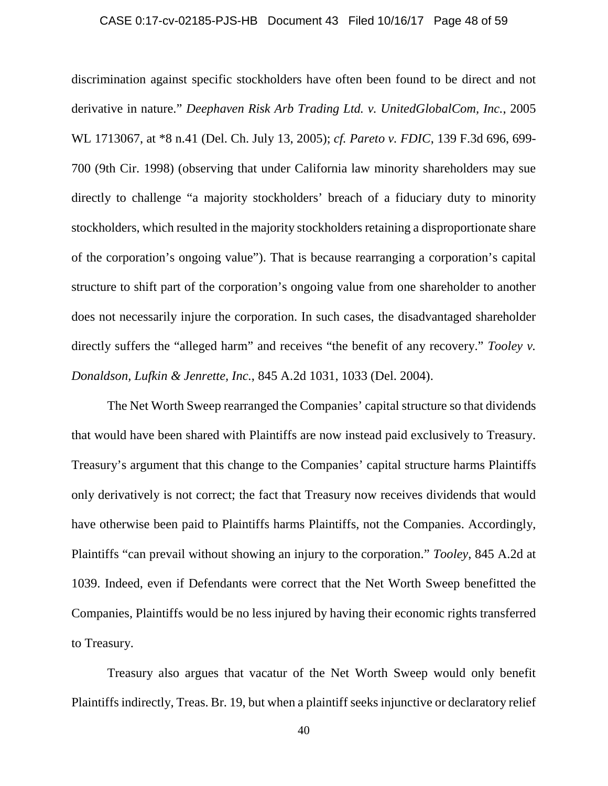#### CASE 0:17-cv-02185-PJS-HB Document 43 Filed 10/16/17 Page 48 of 59

discrimination against specific stockholders have often been found to be direct and not derivative in nature." *Deephaven Risk Arb Trading Ltd. v. UnitedGlobalCom, Inc.*, 2005 WL 1713067, at \*8 n.41 (Del. Ch. July 13, 2005); *cf. Pareto v. FDIC*, 139 F.3d 696, 699- 700 (9th Cir. 1998) (observing that under California law minority shareholders may sue directly to challenge "a majority stockholders' breach of a fiduciary duty to minority stockholders, which resulted in the majority stockholders retaining a disproportionate share of the corporation's ongoing value"). That is because rearranging a corporation's capital structure to shift part of the corporation's ongoing value from one shareholder to another does not necessarily injure the corporation. In such cases, the disadvantaged shareholder directly suffers the "alleged harm" and receives "the benefit of any recovery." *Tooley v. Donaldson, Lufkin & Jenrette, Inc.*, 845 A.2d 1031, 1033 (Del. 2004).

The Net Worth Sweep rearranged the Companies' capital structure so that dividends that would have been shared with Plaintiffs are now instead paid exclusively to Treasury. Treasury's argument that this change to the Companies' capital structure harms Plaintiffs only derivatively is not correct; the fact that Treasury now receives dividends that would have otherwise been paid to Plaintiffs harms Plaintiffs, not the Companies. Accordingly, Plaintiffs "can prevail without showing an injury to the corporation." *Tooley*, 845 A.2d at 1039. Indeed, even if Defendants were correct that the Net Worth Sweep benefitted the Companies, Plaintiffs would be no less injured by having their economic rights transferred to Treasury.

Treasury also argues that vacatur of the Net Worth Sweep would only benefit Plaintiffs indirectly, Treas. Br. 19, but when a plaintiff seeks injunctive or declaratory relief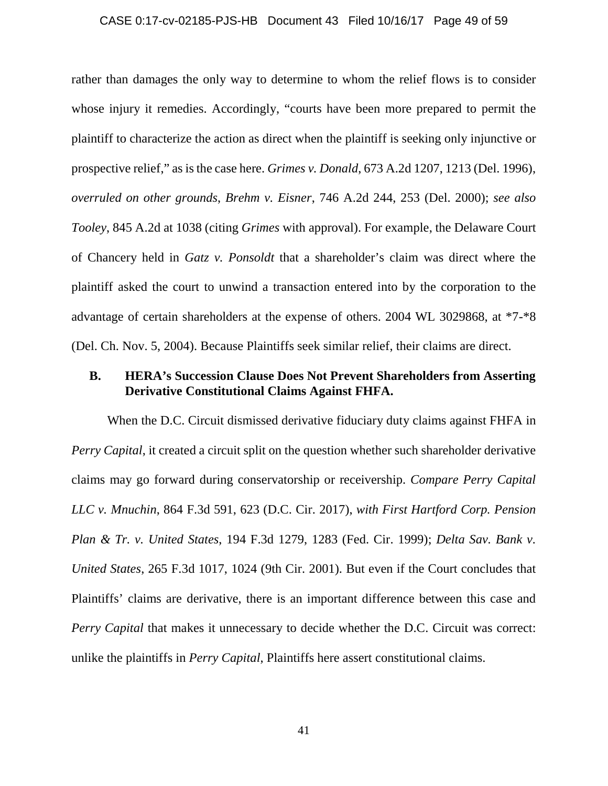#### CASE 0:17-cv-02185-PJS-HB Document 43 Filed 10/16/17 Page 49 of 59

rather than damages the only way to determine to whom the relief flows is to consider whose injury it remedies. Accordingly, "courts have been more prepared to permit the plaintiff to characterize the action as direct when the plaintiff is seeking only injunctive or prospective relief," as is the case here. *Grimes v. Donald*, 673 A.2d 1207, 1213 (Del. 1996), *overruled on other grounds*, *Brehm v. Eisner*, 746 A.2d 244, 253 (Del. 2000); *see also Tooley*, 845 A.2d at 1038 (citing *Grimes* with approval). For example, the Delaware Court of Chancery held in *Gatz v. Ponsoldt* that a shareholder's claim was direct where the plaintiff asked the court to unwind a transaction entered into by the corporation to the advantage of certain shareholders at the expense of others. 2004 WL 3029868, at \*7-\*8 (Del. Ch. Nov. 5, 2004). Because Plaintiffs seek similar relief, their claims are direct.

### **B. HERA's Succession Clause Does Not Prevent Shareholders from Asserting Derivative Constitutional Claims Against FHFA.**

When the D.C. Circuit dismissed derivative fiduciary duty claims against FHFA in *Perry Capital*, it created a circuit split on the question whether such shareholder derivative claims may go forward during conservatorship or receivership. *Compare Perry Capital LLC v. Mnuchin*, 864 F.3d 591, 623 (D.C. Cir. 2017), *with First Hartford Corp. Pension Plan & Tr. v. United States*, 194 F.3d 1279, 1283 (Fed. Cir. 1999); *Delta Sav. Bank v. United States*, 265 F.3d 1017, 1024 (9th Cir. 2001). But even if the Court concludes that Plaintiffs' claims are derivative, there is an important difference between this case and *Perry Capital that makes it unnecessary to decide whether the D.C. Circuit was correct:* unlike the plaintiffs in *Perry Capital*, Plaintiffs here assert constitutional claims.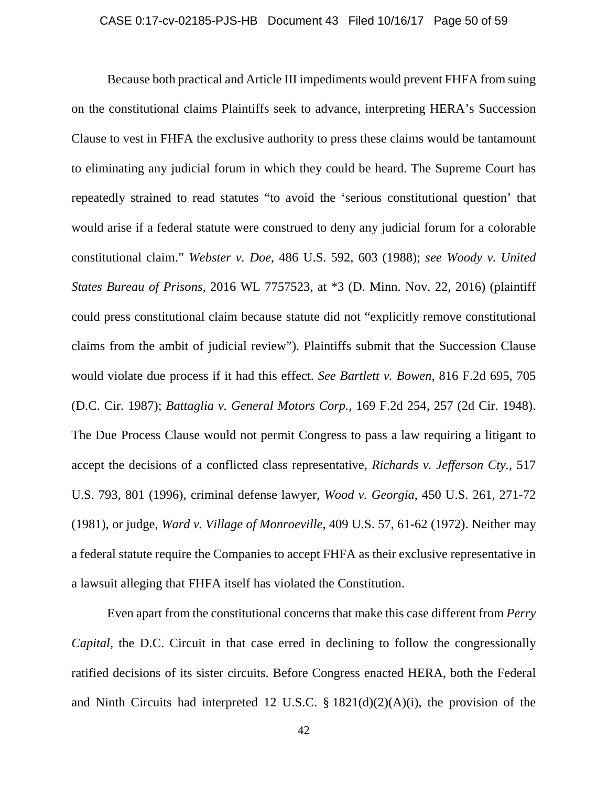#### CASE 0:17-cv-02185-PJS-HB Document 43 Filed 10/16/17 Page 50 of 59

Because both practical and Article III impediments would prevent FHFA from suing on the constitutional claims Plaintiffs seek to advance, interpreting HERA's Succession Clause to vest in FHFA the exclusive authority to press these claims would be tantamount to eliminating any judicial forum in which they could be heard. The Supreme Court has repeatedly strained to read statutes "to avoid the 'serious constitutional question' that would arise if a federal statute were construed to deny any judicial forum for a colorable constitutional claim." *Webster v. Doe*, 486 U.S. 592, 603 (1988); *see Woody v. United States Bureau of Prisons*, 2016 WL 7757523, at \*3 (D. Minn. Nov. 22, 2016) (plaintiff could press constitutional claim because statute did not "explicitly remove constitutional claims from the ambit of judicial review"). Plaintiffs submit that the Succession Clause would violate due process if it had this effect. *See Bartlett v. Bowen*, 816 F.2d 695, 705 (D.C. Cir. 1987); *Battaglia v. General Motors Corp.*, 169 F.2d 254, 257 (2d Cir. 1948). The Due Process Clause would not permit Congress to pass a law requiring a litigant to accept the decisions of a conflicted class representative, *Richards v. Jefferson Cty.*, 517 U.S. 793, 801 (1996), criminal defense lawyer, *Wood v. Georgia*, 450 U.S. 261, 271-72 (1981), or judge, *Ward v. Village of Monroeville*, 409 U.S. 57, 61-62 (1972). Neither may a federal statute require the Companies to accept FHFA as their exclusive representative in a lawsuit alleging that FHFA itself has violated the Constitution.

Even apart from the constitutional concerns that make this case different from *Perry Capital*, the D.C. Circuit in that case erred in declining to follow the congressionally ratified decisions of its sister circuits. Before Congress enacted HERA, both the Federal and Ninth Circuits had interpreted 12 U.S.C.  $\S$  1821(d)(2)(A)(i), the provision of the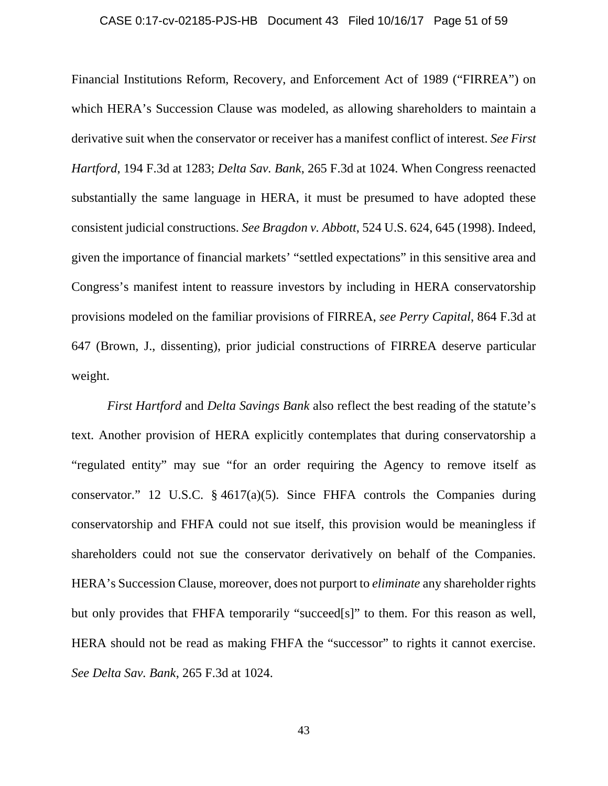#### CASE 0:17-cv-02185-PJS-HB Document 43 Filed 10/16/17 Page 51 of 59

Financial Institutions Reform, Recovery, and Enforcement Act of 1989 ("FIRREA") on which HERA's Succession Clause was modeled, as allowing shareholders to maintain a derivative suit when the conservator or receiver has a manifest conflict of interest. *See First Hartford*, 194 F.3d at 1283; *Delta Sav. Bank*, 265 F.3d at 1024. When Congress reenacted substantially the same language in HERA, it must be presumed to have adopted these consistent judicial constructions. *See Bragdon v. Abbott*, 524 U.S. 624, 645 (1998). Indeed, given the importance of financial markets' "settled expectations" in this sensitive area and Congress's manifest intent to reassure investors by including in HERA conservatorship provisions modeled on the familiar provisions of FIRREA, *see Perry Capital*, 864 F.3d at 647 (Brown, J., dissenting), prior judicial constructions of FIRREA deserve particular weight.

*First Hartford* and *Delta Savings Bank* also reflect the best reading of the statute's text. Another provision of HERA explicitly contemplates that during conservatorship a "regulated entity" may sue "for an order requiring the Agency to remove itself as conservator." 12 U.S.C. § 4617(a)(5). Since FHFA controls the Companies during conservatorship and FHFA could not sue itself, this provision would be meaningless if shareholders could not sue the conservator derivatively on behalf of the Companies. HERA's Succession Clause, moreover, does not purport to *eliminate* any shareholder rights but only provides that FHFA temporarily "succeed[s]" to them. For this reason as well, HERA should not be read as making FHFA the "successor" to rights it cannot exercise. *See Delta Sav. Bank*, 265 F.3d at 1024.

43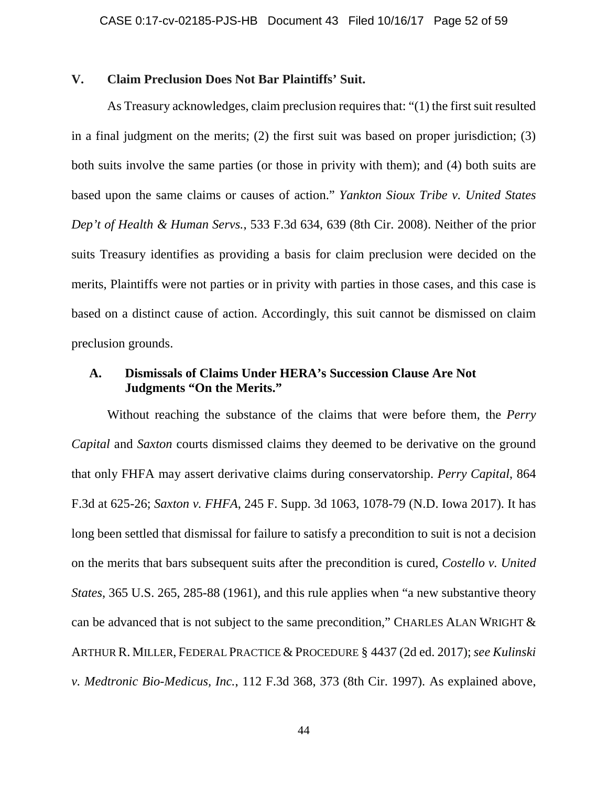### **V. Claim Preclusion Does Not Bar Plaintiffs' Suit.**

As Treasury acknowledges, claim preclusion requires that: "(1) the first suit resulted in a final judgment on the merits; (2) the first suit was based on proper jurisdiction; (3) both suits involve the same parties (or those in privity with them); and (4) both suits are based upon the same claims or causes of action." *Yankton Sioux Tribe v. United States Dep't of Health & Human Servs.*, 533 F.3d 634, 639 (8th Cir. 2008). Neither of the prior suits Treasury identifies as providing a basis for claim preclusion were decided on the merits, Plaintiffs were not parties or in privity with parties in those cases, and this case is based on a distinct cause of action. Accordingly, this suit cannot be dismissed on claim preclusion grounds.

# **A. Dismissals of Claims Under HERA's Succession Clause Are Not Judgments "On the Merits."**

Without reaching the substance of the claims that were before them, the *Perry Capital* and *Saxton* courts dismissed claims they deemed to be derivative on the ground that only FHFA may assert derivative claims during conservatorship. *Perry Capital*, 864 F.3d at 625-26; *Saxton v. FHFA*, 245 F. Supp. 3d 1063, 1078-79 (N.D. Iowa 2017). It has long been settled that dismissal for failure to satisfy a precondition to suit is not a decision on the merits that bars subsequent suits after the precondition is cured, *Costello v. United States*, 365 U.S. 265, 285-88 (1961), and this rule applies when "a new substantive theory can be advanced that is not subject to the same precondition," CHARLES ALAN WRIGHT & ARTHUR R. MILLER, FEDERAL PRACTICE & PROCEDURE § 4437 (2d ed. 2017); *see Kulinski v. Medtronic Bio-Medicus, Inc.*, 112 F.3d 368, 373 (8th Cir. 1997). As explained above,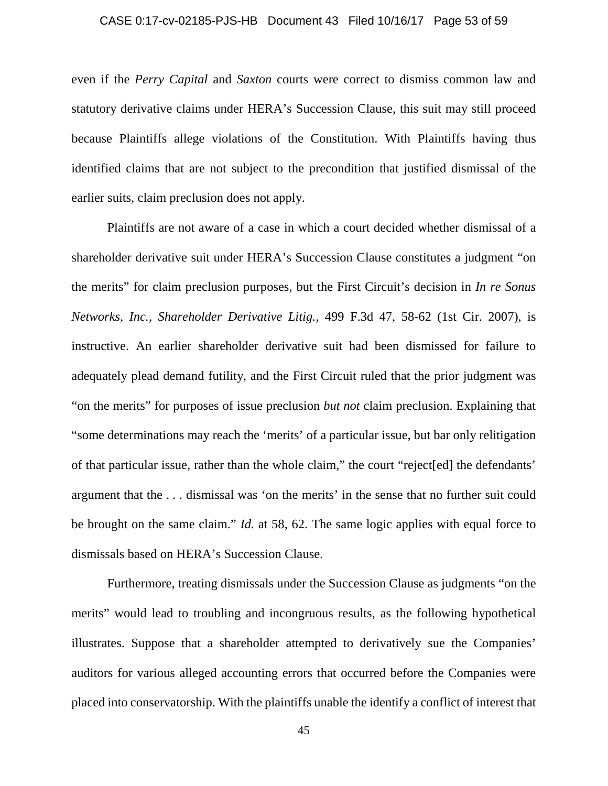#### CASE 0:17-cv-02185-PJS-HB Document 43 Filed 10/16/17 Page 53 of 59

even if the *Perry Capital* and *Saxton* courts were correct to dismiss common law and statutory derivative claims under HERA's Succession Clause, this suit may still proceed because Plaintiffs allege violations of the Constitution. With Plaintiffs having thus identified claims that are not subject to the precondition that justified dismissal of the earlier suits, claim preclusion does not apply.

Plaintiffs are not aware of a case in which a court decided whether dismissal of a shareholder derivative suit under HERA's Succession Clause constitutes a judgment "on the merits" for claim preclusion purposes, but the First Circuit's decision in *In re Sonus Networks, Inc., Shareholder Derivative Litig.*, 499 F.3d 47, 58-62 (1st Cir. 2007), is instructive. An earlier shareholder derivative suit had been dismissed for failure to adequately plead demand futility, and the First Circuit ruled that the prior judgment was "on the merits" for purposes of issue preclusion *but not* claim preclusion. Explaining that "some determinations may reach the 'merits' of a particular issue, but bar only relitigation of that particular issue, rather than the whole claim," the court "reject[ed] the defendants' argument that the . . . dismissal was 'on the merits' in the sense that no further suit could be brought on the same claim." *Id.* at 58, 62. The same logic applies with equal force to dismissals based on HERA's Succession Clause.

Furthermore, treating dismissals under the Succession Clause as judgments "on the merits" would lead to troubling and incongruous results, as the following hypothetical illustrates. Suppose that a shareholder attempted to derivatively sue the Companies' auditors for various alleged accounting errors that occurred before the Companies were placed into conservatorship. With the plaintiffs unable the identify a conflict of interest that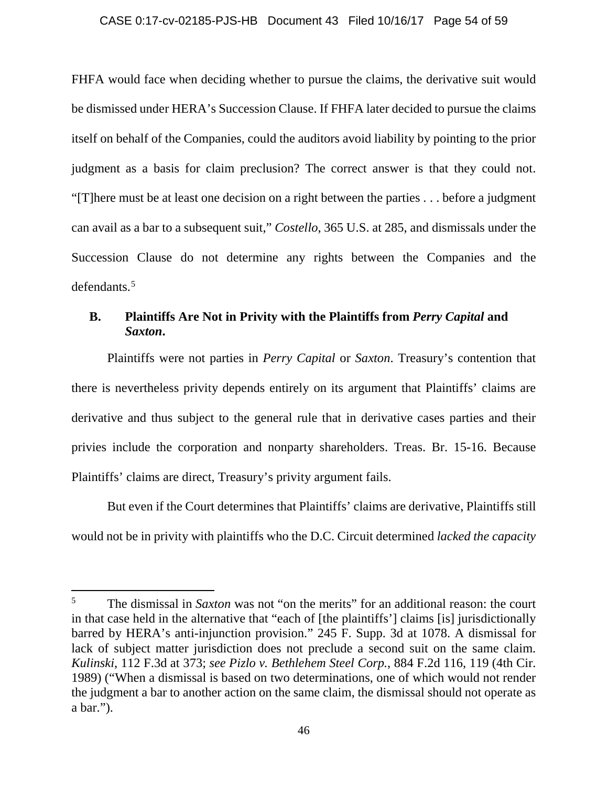### CASE 0:17-cv-02185-PJS-HB Document 43 Filed 10/16/17 Page 54 of 59

FHFA would face when deciding whether to pursue the claims, the derivative suit would be dismissed under HERA's Succession Clause. If FHFA later decided to pursue the claims itself on behalf of the Companies, could the auditors avoid liability by pointing to the prior judgment as a basis for claim preclusion? The correct answer is that they could not. "[T]here must be at least one decision on a right between the parties . . . before a judgment can avail as a bar to a subsequent suit," *Costello*, 365 U.S. at 285, and dismissals under the Succession Clause do not determine any rights between the Companies and the defendants.[5](#page-53-0)

### **B. Plaintiffs Are Not in Privity with the Plaintiffs from** *Perry Capital* **and**  *Saxton***.**

Plaintiffs were not parties in *Perry Capital* or *Saxton*. Treasury's contention that there is nevertheless privity depends entirely on its argument that Plaintiffs' claims are derivative and thus subject to the general rule that in derivative cases parties and their privies include the corporation and nonparty shareholders. Treas. Br. 15-16. Because Plaintiffs' claims are direct, Treasury's privity argument fails.

But even if the Court determines that Plaintiffs' claims are derivative, Plaintiffs still would not be in privity with plaintiffs who the D.C. Circuit determined *lacked the capacity*

l

<span id="page-53-0"></span><sup>5</sup> The dismissal in *Saxton* was not "on the merits" for an additional reason: the court in that case held in the alternative that "each of [the plaintiffs'] claims [is] jurisdictionally barred by HERA's anti-injunction provision." 245 F. Supp. 3d at 1078. A dismissal for lack of subject matter jurisdiction does not preclude a second suit on the same claim. *Kulinski*, 112 F.3d at 373; *see Pizlo v. Bethlehem Steel Corp.*, 884 F.2d 116, 119 (4th Cir. 1989) ("When a dismissal is based on two determinations, one of which would not render the judgment a bar to another action on the same claim, the dismissal should not operate as a bar.").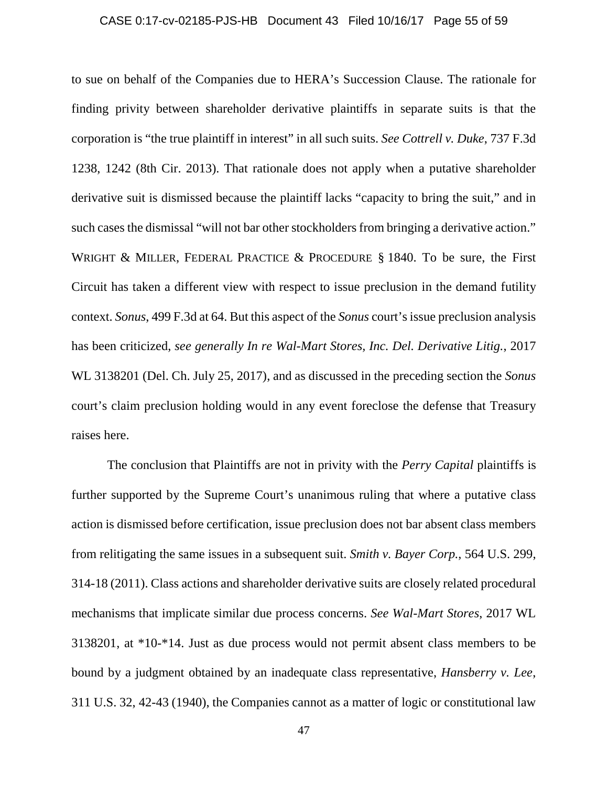#### CASE 0:17-cv-02185-PJS-HB Document 43 Filed 10/16/17 Page 55 of 59

to sue on behalf of the Companies due to HERA's Succession Clause. The rationale for finding privity between shareholder derivative plaintiffs in separate suits is that the corporation is "the true plaintiff in interest" in all such suits. *See Cottrell v. Duke*, 737 F.3d 1238, 1242 (8th Cir. 2013). That rationale does not apply when a putative shareholder derivative suit is dismissed because the plaintiff lacks "capacity to bring the suit," and in such cases the dismissal "will not bar other stockholders from bringing a derivative action." WRIGHT & MILLER, FEDERAL PRACTICE & PROCEDURE § 1840. To be sure, the First Circuit has taken a different view with respect to issue preclusion in the demand futility context. *Sonus*, 499 F.3d at 64. But this aspect of the *Sonus* court's issue preclusion analysis has been criticized, *see generally In re Wal-Mart Stores, Inc. Del. Derivative Litig.*, 2017 WL 3138201 (Del. Ch. July 25, 2017), and as discussed in the preceding section the *Sonus*  court's claim preclusion holding would in any event foreclose the defense that Treasury raises here.

The conclusion that Plaintiffs are not in privity with the *Perry Capital* plaintiffs is further supported by the Supreme Court's unanimous ruling that where a putative class action is dismissed before certification, issue preclusion does not bar absent class members from relitigating the same issues in a subsequent suit. *Smith v. Bayer Corp.*, 564 U.S. 299, 314-18 (2011). Class actions and shareholder derivative suits are closely related procedural mechanisms that implicate similar due process concerns. *See Wal-Mart Stores*, 2017 WL 3138201, at \*10-\*14. Just as due process would not permit absent class members to be bound by a judgment obtained by an inadequate class representative, *Hansberry v. Lee*, 311 U.S. 32, 42-43 (1940), the Companies cannot as a matter of logic or constitutional law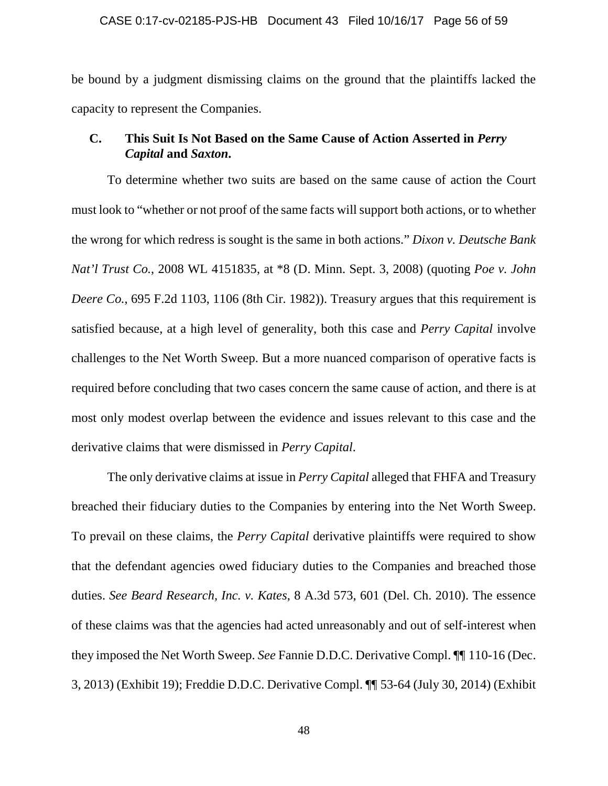#### CASE 0:17-cv-02185-PJS-HB Document 43 Filed 10/16/17 Page 56 of 59

be bound by a judgment dismissing claims on the ground that the plaintiffs lacked the capacity to represent the Companies.

### **C. This Suit Is Not Based on the Same Cause of Action Asserted in** *Perry Capital* **and** *Saxton***.**

To determine whether two suits are based on the same cause of action the Court must look to "whether or not proof of the same facts will support both actions, or to whether the wrong for which redress is sought is the same in both actions." *Dixon v. Deutsche Bank Nat'l Trust Co.*, 2008 WL 4151835, at \*8 (D. Minn. Sept. 3, 2008) (quoting *Poe v. John Deere Co.*, 695 F.2d 1103, 1106 (8th Cir. 1982)). Treasury argues that this requirement is satisfied because, at a high level of generality, both this case and *Perry Capital* involve challenges to the Net Worth Sweep. But a more nuanced comparison of operative facts is required before concluding that two cases concern the same cause of action, and there is at most only modest overlap between the evidence and issues relevant to this case and the derivative claims that were dismissed in *Perry Capital*.

The only derivative claims at issue in *Perry Capital* alleged that FHFA and Treasury breached their fiduciary duties to the Companies by entering into the Net Worth Sweep. To prevail on these claims, the *Perry Capital* derivative plaintiffs were required to show that the defendant agencies owed fiduciary duties to the Companies and breached those duties. *See Beard Research, Inc. v. Kates*, 8 A.3d 573, 601 (Del. Ch. 2010). The essence of these claims was that the agencies had acted unreasonably and out of self-interest when they imposed the Net Worth Sweep. *See* Fannie D.D.C. Derivative Compl. ¶¶ 110-16 (Dec. 3, 2013) (Exhibit 19); Freddie D.D.C. Derivative Compl. ¶¶ 53-64 (July 30, 2014) (Exhibit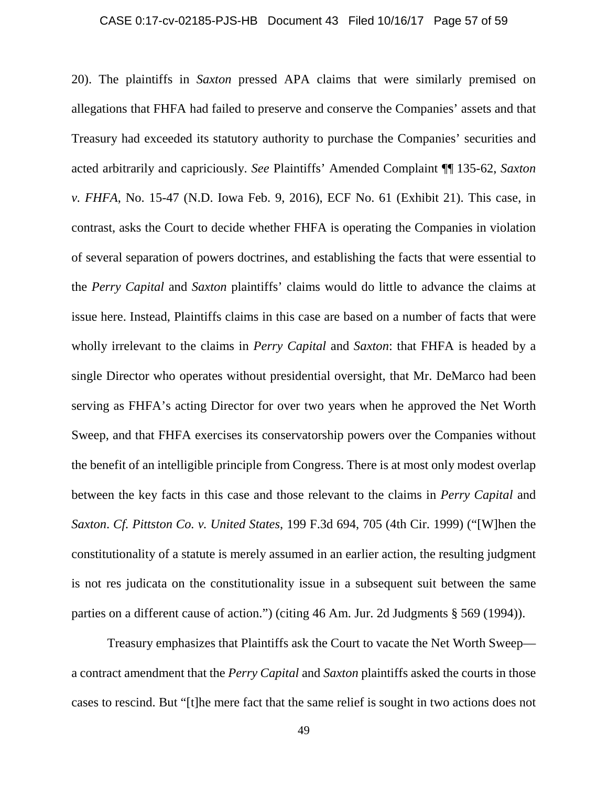#### CASE 0:17-cv-02185-PJS-HB Document 43 Filed 10/16/17 Page 57 of 59

20). The plaintiffs in *Saxton* pressed APA claims that were similarly premised on allegations that FHFA had failed to preserve and conserve the Companies' assets and that Treasury had exceeded its statutory authority to purchase the Companies' securities and acted arbitrarily and capriciously. *See* Plaintiffs' Amended Complaint ¶¶ 135-62, *Saxton v. FHFA*, No. 15-47 (N.D. Iowa Feb. 9, 2016), ECF No. 61 (Exhibit 21). This case, in contrast, asks the Court to decide whether FHFA is operating the Companies in violation of several separation of powers doctrines, and establishing the facts that were essential to the *Perry Capital* and *Saxton* plaintiffs' claims would do little to advance the claims at issue here. Instead, Plaintiffs claims in this case are based on a number of facts that were wholly irrelevant to the claims in *Perry Capital* and *Saxton*: that FHFA is headed by a single Director who operates without presidential oversight, that Mr. DeMarco had been serving as FHFA's acting Director for over two years when he approved the Net Worth Sweep, and that FHFA exercises its conservatorship powers over the Companies without the benefit of an intelligible principle from Congress. There is at most only modest overlap between the key facts in this case and those relevant to the claims in *Perry Capital* and *Saxton*. *Cf. Pittston Co. v. United States*, 199 F.3d 694, 705 (4th Cir. 1999) ("[W]hen the constitutionality of a statute is merely assumed in an earlier action, the resulting judgment is not res judicata on the constitutionality issue in a subsequent suit between the same parties on a different cause of action.") (citing 46 Am. Jur. 2d Judgments § 569 (1994)).

Treasury emphasizes that Plaintiffs ask the Court to vacate the Net Worth Sweep a contract amendment that the *Perry Capital* and *Saxton* plaintiffs asked the courts in those cases to rescind. But "[t]he mere fact that the same relief is sought in two actions does not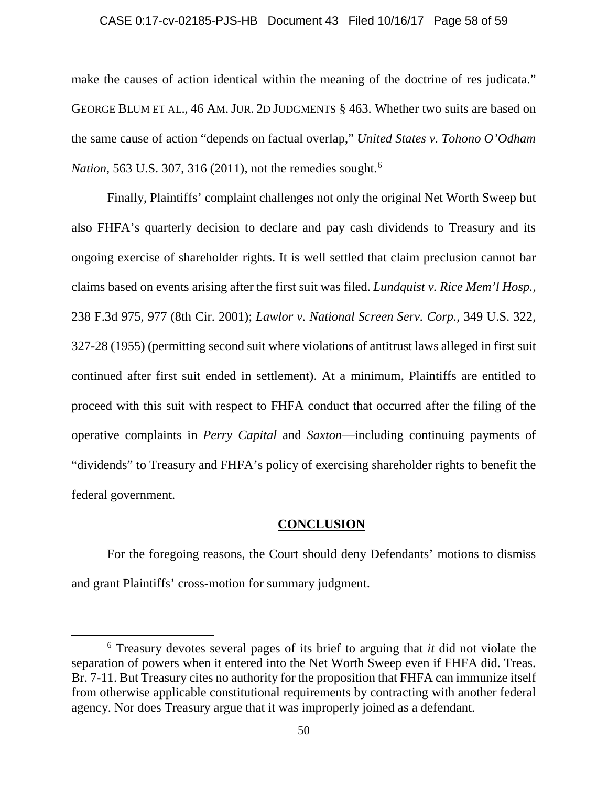#### CASE 0:17-cv-02185-PJS-HB Document 43 Filed 10/16/17 Page 58 of 59

make the causes of action identical within the meaning of the doctrine of res judicata." GEORGE BLUM ET AL., 46 AM. JUR. 2D JUDGMENTS § 463. Whether two suits are based on the same cause of action "depends on factual overlap," *United States v. Tohono O'Odham Nation*, 563 U.S. 307, 316 (2011), not the remedies sought. [6](#page-57-0)

Finally, Plaintiffs' complaint challenges not only the original Net Worth Sweep but also FHFA's quarterly decision to declare and pay cash dividends to Treasury and its ongoing exercise of shareholder rights. It is well settled that claim preclusion cannot bar claims based on events arising after the first suit was filed. *Lundquist v. Rice Mem'l Hosp.*, 238 F.3d 975, 977 (8th Cir. 2001); *Lawlor v. National Screen Serv. Corp.*, 349 U.S. 322, 327-28 (1955) (permitting second suit where violations of antitrust laws alleged in first suit continued after first suit ended in settlement). At a minimum, Plaintiffs are entitled to proceed with this suit with respect to FHFA conduct that occurred after the filing of the operative complaints in *Perry Capital* and *Saxton*—including continuing payments of "dividends" to Treasury and FHFA's policy of exercising shareholder rights to benefit the federal government.

#### **CONCLUSION**

For the foregoing reasons, the Court should deny Defendants' motions to dismiss and grant Plaintiffs' cross-motion for summary judgment.

 $\overline{\phantom{a}}$ 

<span id="page-57-0"></span><sup>6</sup> Treasury devotes several pages of its brief to arguing that *it* did not violate the separation of powers when it entered into the Net Worth Sweep even if FHFA did. Treas. Br. 7-11. But Treasury cites no authority for the proposition that FHFA can immunize itself from otherwise applicable constitutional requirements by contracting with another federal agency. Nor does Treasury argue that it was improperly joined as a defendant.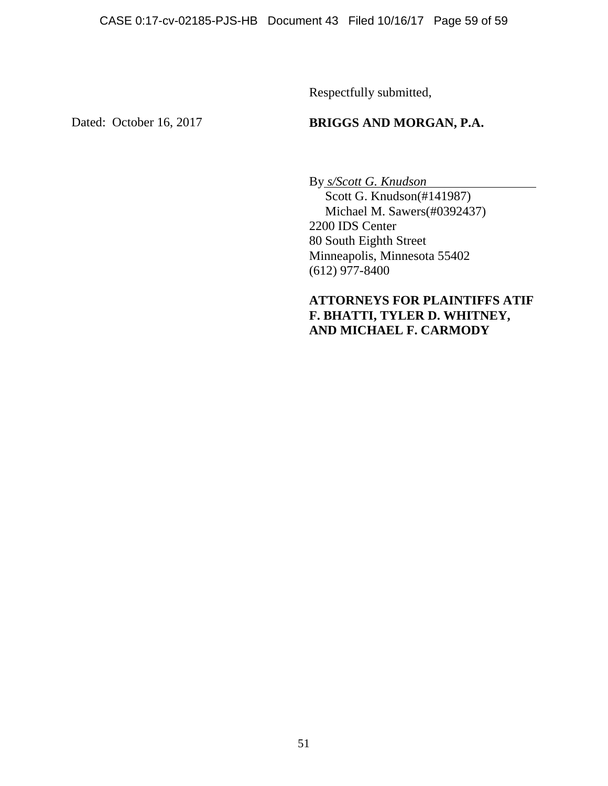Respectfully submitted,

Dated: October 16, 2017

# **BRIGGS AND MORGAN, P.A.**

By *s/Scott G. Knudson*  Scott G. Knudson(#141987) Michael M. Sawers(#0392437) 2200 IDS Center 80 South Eighth Street Minneapolis, Minnesota 55402  $(612)$  977-8400

# **ATTORNEYS FOR PLAINTIFFS ATIF F. BHATTI, TYLER D. WHITNEY, AND MICHAEL F. CARMODY**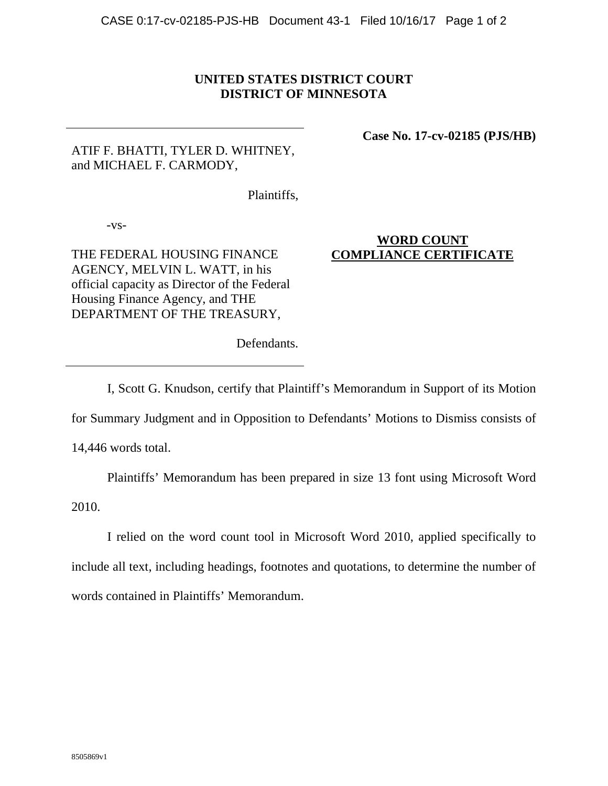### **UNITED STATES DISTRICT COURT DISTRICT OF MINNESOTA**

# ATIF F. BHATTI, TYLER D. WHITNEY, and MICHAEL F. CARMODY,

**Case No. 17-cv-02185 (PJS/HB)**

Plaintiffs,

-vs-

THE FEDERAL HOUSING FINANCE AGENCY, MELVIN L. WATT, in his official capacity as Director of the Federal Housing Finance Agency, and THE DEPARTMENT OF THE TREASURY,

### **WORD COUNT COMPLIANCE CERTIFICATE**

Defendants.

I, Scott G. Knudson, certify that Plaintiff's Memorandum in Support of its Motion

for Summary Judgment and in Opposition to Defendants' Motions to Dismiss consists of

14,446 words total.

Plaintiffs' Memorandum has been prepared in size 13 font using Microsoft Word

2010.

I relied on the word count tool in Microsoft Word 2010, applied specifically to include all text, including headings, footnotes and quotations, to determine the number of words contained in Plaintiffs' Memorandum.